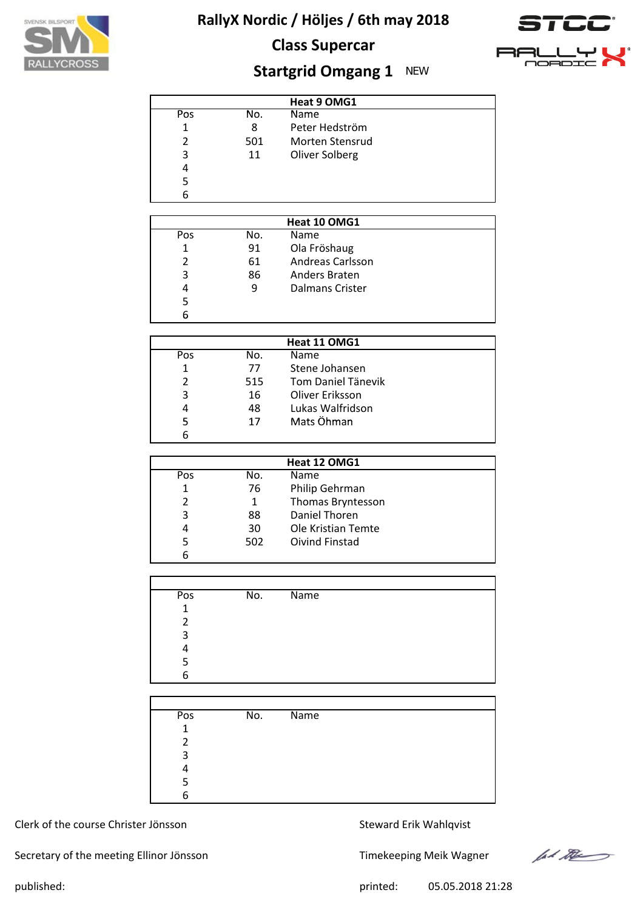





# **Startgrid Omgang 1** NEW

|     |     | Heat 9 OMG1     |  |
|-----|-----|-----------------|--|
| Pos | No. | Name            |  |
| 1   | 8   | Peter Hedström  |  |
| 2   | 501 | Morten Stensrud |  |
| 3   | 11  | Oliver Solberg  |  |
| 4   |     |                 |  |
| 5   |     |                 |  |
| 6   |     |                 |  |

|     |     | Heat 10 OMG1           |  |
|-----|-----|------------------------|--|
| Pos | No. | Name                   |  |
|     | 91  | Ola Fröshaug           |  |
|     | 61  | Andreas Carlsson       |  |
| 3   | 86  | Anders Braten          |  |
| 4   | 9   | <b>Dalmans Crister</b> |  |
|     |     |                        |  |
|     |     |                        |  |

| Heat 11 OMG1 |     |                           |  |  |  |  |  |
|--------------|-----|---------------------------|--|--|--|--|--|
| Pos          | No. | <b>Name</b>               |  |  |  |  |  |
| 1            | 77  | Stene Johansen            |  |  |  |  |  |
| 2            | 515 | <b>Tom Daniel Tänevik</b> |  |  |  |  |  |
| 3            | 16  | Oliver Eriksson           |  |  |  |  |  |
| 4            | 48  | Lukas Walfridson          |  |  |  |  |  |
| 5            | 17  | Mats Öhman                |  |  |  |  |  |
|              |     |                           |  |  |  |  |  |

| Heat 12 OMG1 |     |                    |  |  |  |  |
|--------------|-----|--------------------|--|--|--|--|
| Pos          | No. | <b>Name</b>        |  |  |  |  |
| 1            | 76  | Philip Gehrman     |  |  |  |  |
| 2            | 1   | Thomas Bryntesson  |  |  |  |  |
| 3            | 88  | Daniel Thoren      |  |  |  |  |
| 4            | 30  | Ole Kristian Temte |  |  |  |  |
| 5            | 502 | Oivind Finstad     |  |  |  |  |
| 6            |     |                    |  |  |  |  |

| Pos          | No. | Name |
|--------------|-----|------|
| $\mathbf{1}$ |     |      |
| 2            |     |      |
| 3            |     |      |
| 4            |     |      |
| 5            |     |      |
| 6            |     |      |

| Pos         | No. | Name |
|-------------|-----|------|
| $\mathbf 1$ |     |      |
| າ           |     |      |
| 3           |     |      |
|             |     |      |
|             |     |      |
| հ           |     |      |

#### Clerk of the course Christer Jönsson Steward Erik Wahlqvist

Secretary of the meeting Ellinor Jönsson Timekeeping Meik Wagner



published: 05.05.2018 21:28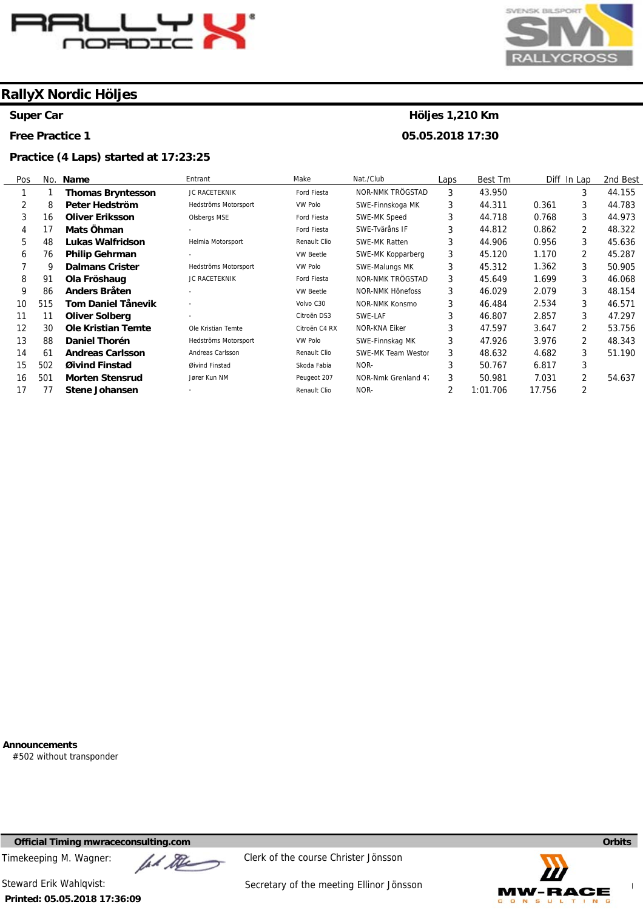

**Super Car** 

**Free Practice 1** 

#### **Practice (4 Laps) started at 17:23:25**



# **Höljes 1,210 Km**

**05.05.2018 17:30** 

| Pos | No. | Name                      | Entrant              | Make             | Nat./Club               | Laps | Best Tm  |        | Diff In Lap    | 2nd Best |
|-----|-----|---------------------------|----------------------|------------------|-------------------------|------|----------|--------|----------------|----------|
|     |     | <b>Thomas Bryntesson</b>  | JC RACETEKNIK        | Ford Fiesta      | NOR-NMK TRÖGSTAD        | 3    | 43.950   |        | 3              | 44.155   |
| 2   | 8   | Peter Hedström            | Hedströms Motorsport | <b>VW Polo</b>   | SWE-Finnskoga MK        | 3    | 44.311   | 0.361  | 3              | 44.783   |
| 3   | 16  | <b>Oliver Eriksson</b>    | Olsbergs MSE         | Ford Fiesta      | SWE-MK Speed            | 3    | 44.718   | 0.768  | 3              | 44.973   |
| 4   | 17  | Mats Öhman                |                      | Ford Fiesta      | SWE-Tväråns IF          | 3    | 44.812   | 0.862  | $\overline{2}$ | 48.322   |
| 5   | 48  | Lukas Walfridson          | Helmia Motorsport    | Renault Clio     | <b>SWE-MK Ratten</b>    | 3    | 44.906   | 0.956  | 3              | 45.636   |
| 6   | 76  | <b>Philip Gehrman</b>     |                      | <b>VW Beetle</b> | SWE-MK Kopparberg       | 3    | 45.120   | 1.170  | 2              | 45.287   |
|     | 9   | <b>Dalmans Crister</b>    | Hedströms Motorsport | VW Polo          | SWE-Malungs MK          | 3    | 45.312   | 1.362  | 3              | 50.905   |
| 8   | 91  | Ola Fröshaug              | JC RACETEKNIK        | Ford Fiesta      | NOR-NMK TRÖGSTAD        | 3    | 45.649   | 1.699  | 3              | 46.068   |
| 9   | 86  | Anders Bråten             | ٠                    | <b>VW Beetle</b> | <b>NOR-NMK Hönefoss</b> | 3    | 46.029   | 2.079  | 3              | 48.154   |
| 10  | 515 | Tom Daniel Tånevik        | ٠                    | Volvo C30        | NOR-NMK Konsmo          | 3    | 46.484   | 2.534  | 3              | 46.571   |
| 11  | 11  | <b>Oliver Solberg</b>     | ٠                    | Citroën DS3      | SWE-LAF                 | 3    | 46.807   | 2.857  | 3              | 47.297   |
| 12  | 30  | <b>Ole Kristian Temte</b> | Ole Kristian Temte   | Citroën C4 RX    | <b>NOR-KNA Eiker</b>    | 3    | 47.597   | 3.647  | 2              | 53.756   |
| 13  | 88  | Daniel Thorén             | Hedströms Motorsport | VW Polo          | SWE-Finnskag MK         | 3    | 47.926   | 3.976  | 2              | 48.343   |
| 14  | 61  | <b>Andreas Carlsson</b>   | Andreas Carlsson     | Renault Clio     | SWE-MK Team Westor      | 3    | 48.632   | 4.682  | 3              | 51.190   |
| 15  | 502 | Øivind Finstad            | Øivind Finstad       | Skoda Fabia      | NOR-                    | 3    | 50.767   | 6.817  | 3              |          |
| 16  | 501 | <b>Morten Stensrud</b>    | Jører Kun NM         | Peugeot 207      | NOR-Nmk Grenland 4.     | 3    | 50.981   | 7.031  | 2              | 54.637   |
| 17  | 77  | <b>Stene Johansen</b>     |                      | Renault Clio     | NOR-                    | 2    | 1:01.706 | 17.756 | 2              |          |

**Announcements** 

#502 without transponder

**Official Timing mwraceconsulting.com Orbits** 

Timekeeping M. Wagner:  $\mathbb{Z}$   $\mathbb{Z}$  Clerk of the course Christer Jönsson

**Printed: 05.05.2018 17:36:09** 

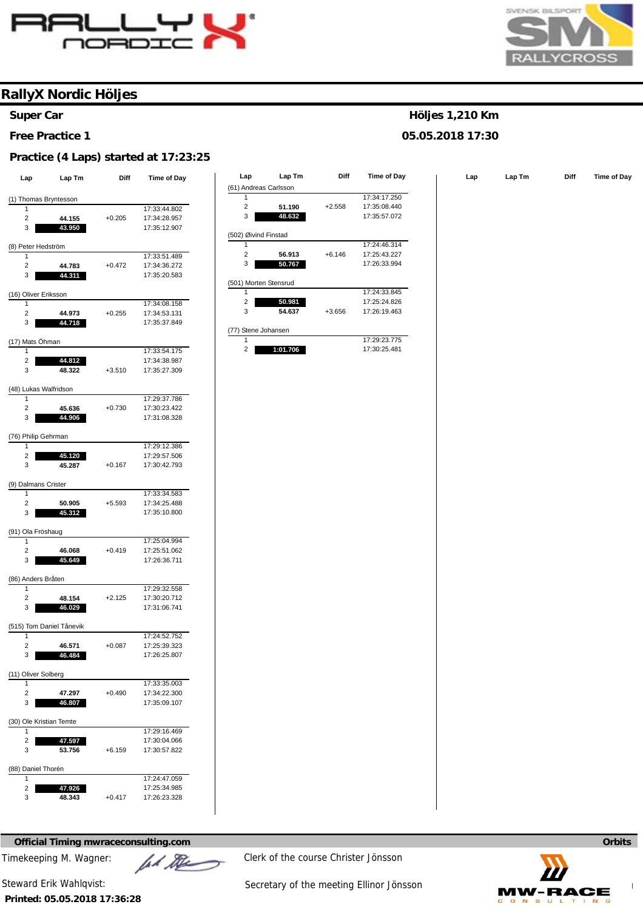



#### **Super Car**

**Free Practice 1** 

#### **Practice (4 Laps) started at 17:23:25**

| Lap                          | Lap Tm                   | Diff     | Time of Day                  |
|------------------------------|--------------------------|----------|------------------------------|
|                              |                          |          |                              |
| (1) Thomas Bryntesson        |                          |          |                              |
| 1                            |                          |          | 17:33:44.802                 |
| $\overline{2}$               | 44.155                   | $+0.205$ | 17:34:28.957                 |
| 3                            | 43.950                   |          | 17:35:12.907                 |
| (8) Peter Hedström           |                          |          |                              |
| 1                            |                          |          | 17:33:51.489                 |
| 2                            | 44.783                   | $+0.472$ | 17:34:36.272                 |
| 3                            | 44.311                   |          | 17:35:20.583                 |
|                              |                          |          |                              |
| (16) Oliver Eriksson<br>1    |                          |          |                              |
| 2                            | 44.973                   | $+0.255$ | 17:34:08.158<br>17:34:53.131 |
| 3                            | 44.718                   |          | 17:35:37.849                 |
|                              |                          |          |                              |
| (17) Mats Öhman              |                          |          |                              |
| 1                            |                          |          | 17:33:54.175                 |
| 2                            | 44.812                   |          | 17:34:38.987                 |
| 3                            | 48.322                   | $+3.510$ | 17:35:27.309                 |
|                              |                          |          |                              |
| (48) Lukas Walfridson<br>1   |                          |          | 17:29:37.786                 |
|                              |                          |          |                              |
| 2                            | 45.636<br>44.906         | $+0.730$ | 17:30:23.422                 |
| 3                            |                          |          | 17:31:08.328                 |
| (76) Philip Gehrman          |                          |          |                              |
| 1                            |                          |          | 17:29:12.386                 |
| 2                            | 45.120                   |          | 17:29:57.506                 |
| 3                            | 45.287                   | $+0.167$ | 17:30:42.793                 |
|                              |                          |          |                              |
| (9) Dalmans Crister<br>1     |                          |          | 17:33:34.583                 |
| 2                            | 50.905                   | $+5.593$ | 17:34:25.488                 |
| 3                            | 45.312                   |          | 17:35:10.800                 |
|                              |                          |          |                              |
| (91) Ola Fröshaug            |                          |          |                              |
| 1                            |                          |          | 17:25:04.994                 |
| 2                            | 46.068                   | $+0.419$ | 17:25:51.062                 |
| 3                            | 45.649                   |          | 17:26:36.711                 |
| (86) Anders Bråten           |                          |          |                              |
| 1                            |                          |          | 17:29:32.558                 |
| 2                            | 48.154                   | $+2.125$ | 17:30:20.712                 |
| 3                            | 46.029                   |          | 17:31:06.741                 |
|                              |                          |          |                              |
|                              | (515) Tom Daniel Tånevik |          |                              |
| 1                            |                          |          | 17:24:52.752                 |
| 2                            | 46.571<br>46.484         | $+0.087$ | 17:25:39.323                 |
| 3                            |                          |          | 17:26:25.807                 |
| (11) Oliver Solberg          |                          |          |                              |
| 1                            |                          |          | 17:33:35.003                 |
| $\overline{2}$               | 47.297                   | $+0.490$ | 17:34:22.300                 |
| 3                            | 46.807                   |          | 17:35:09.107                 |
|                              |                          |          |                              |
| (30) Ole Kristian Temte<br>1 |                          |          |                              |
|                              |                          |          | 17:29:16.469                 |
| 2<br>3                       | 47.597<br>53.756         | $+6.159$ | 17:30:04.066<br>17:30:57.822 |
|                              |                          |          |                              |
| (88) Daniel Thorén           |                          |          |                              |
| 1                            |                          |          | 17:24:47.059                 |
| 2                            | 47.926                   |          | 17:25:34.985                 |
| 3                            | 48.343                   | $+0.417$ | 17:26:23.328                 |

| Lap             | Lap Tm           | Diff     | Time of Day  | Lap                   | Lap Tm | Diff     | Time of Day  | Lap | Lap Tm | <b>Diff</b> | Time of Day |
|-----------------|------------------|----------|--------------|-----------------------|--------|----------|--------------|-----|--------|-------------|-------------|
|                 |                  |          |              | (61) Andreas Carlsson |        |          |              |     |        |             |             |
|                 | homas Bryntesson |          |              |                       |        |          | 17:34:17.250 |     |        |             |             |
|                 |                  |          | 17:33:44.802 | 2                     | 51.190 | $+2.558$ | 17:35:08.440 |     |        |             |             |
| 2               | 44.155           | $+0.205$ | 17:34:28.957 | 3                     | 48.632 |          | 17:35:57.072 |     |        |             |             |
| 3               | 43.950           |          | 17:35:12.907 |                       |        |          |              |     |        |             |             |
|                 |                  |          |              | (502) Øivind Finstad  |        |          |              |     |        |             |             |
| Peter Hedström  |                  |          |              |                       |        |          | 17:24:46.314 |     |        |             |             |
|                 |                  |          | 17:33:51.489 | 2                     | 56.913 | $+6.146$ | 17:25:43.227 |     |        |             |             |
| 2               | 44.783           | $+0.472$ | 17:34:36.272 | 3                     | 50.767 |          | 17:26:33.994 |     |        |             |             |
| 3               | 44.311           |          | 17:35:20.583 |                       |        |          |              |     |        |             |             |
|                 |                  |          |              | (501) Morten Stensrud |        |          |              |     |        |             |             |
| Oliver Eriksson |                  |          |              |                       |        |          | 17:24:33.845 |     |        |             |             |
|                 |                  |          | 17:34:08.158 | $\overline{2}$        | 50.981 |          | 17:25:24.826 |     |        |             |             |
| 2               | 44.973           | $+0.255$ | 17:34:53.131 | 3                     | 54.637 | $+3.656$ | 17:26:19.463 |     |        |             |             |
| 3               | 44.718           |          | 17:35:37.849 |                       |        |          |              |     |        |             |             |
|                 |                  |          |              | (77) Stene Johansen   |        |          |              |     |        |             |             |
| Mats Öhman      |                  |          |              |                       |        |          | 17:29:23.775 |     |        |             |             |

2

**1:01.706** 

17:30:25.481

**Höljes 1,210 Km 05.05.2018 17:30** 

**Official Timing mwraceconsulting.com Orbits Orbits Orbits Orbits Orbits Orbits** 

**Printed: 05.05.2018 17:36:28** 



Timekeeping M. Wagner:  $\mathbb{Z}$   $\mathbb{Z}$  Clerk of the course Christer Jönsson

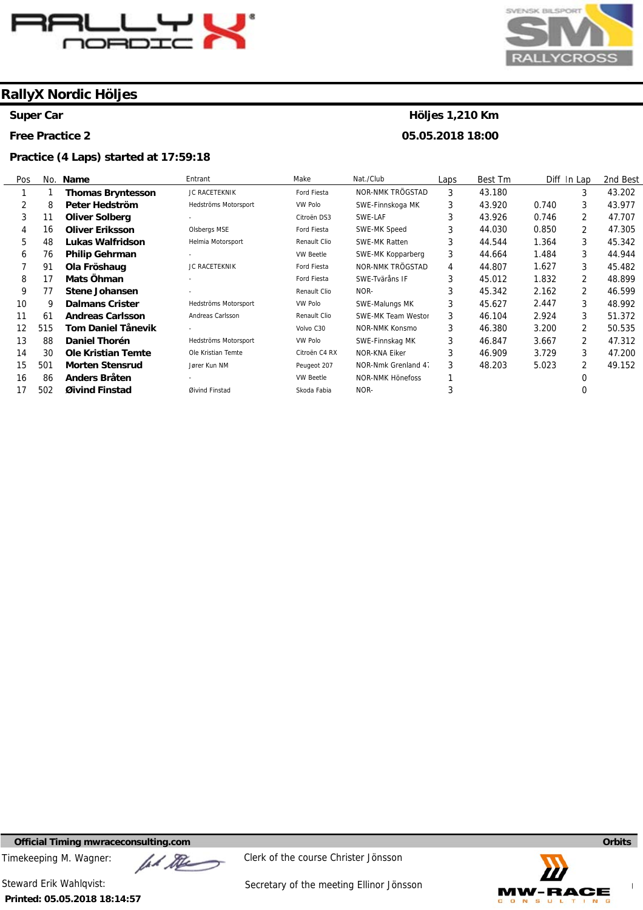

#### **Super Car**

**Free Practice 2** 

#### **Practice (4 Laps) started at 17:59:18**



# **Höljes 1,210 Km**

**05.05.2018 18:00** 

| Pos |     | No. Name                  | Entrant                  | Make             | Nat./Club            | Laps | Best Tm |       | Diff In Lap    | 2nd Best |
|-----|-----|---------------------------|--------------------------|------------------|----------------------|------|---------|-------|----------------|----------|
|     |     | <b>Thomas Bryntesson</b>  | JC RACETEKNIK            | Ford Fiesta      | NOR-NMK TRÖGSTAD     | 3    | 43.180  |       | 3              | 43.202   |
| 2   | 8   | Peter Hedström            | Hedströms Motorsport     | <b>VW Polo</b>   | SWE-Finnskoga MK     | 3    | 43.920  | 0.740 | 3              | 43.977   |
| 3   | 11  | <b>Oliver Solberg</b>     |                          | Citroën DS3      | SWE-LAF              | 3    | 43.926  | 0.746 | $\overline{2}$ | 47.707   |
| 4   | 16  | <b>Oliver Eriksson</b>    | Olsbergs MSE             | Ford Fiesta      | SWE-MK Speed         | 3    | 44.030  | 0.850 | $\overline{2}$ | 47.305   |
| 5   | 48  | <b>Lukas Walfridson</b>   | Helmia Motorsport        | Renault Clio     | <b>SWE-MK Ratten</b> | 3    | 44.544  | 1.364 | 3              | 45.342   |
| 6   | 76  | <b>Philip Gehrman</b>     |                          | <b>VW Beetle</b> | SWE-MK Kopparberg    | 3    | 44.664  | 1.484 | 3              | 44.944   |
|     | 91  | Ola Fröshaug              | <b>JC RACETEKNIK</b>     | Ford Fiesta      | NOR-NMK TRÖGSTAD     | 4    | 44.807  | 1.627 | 3              | 45.482   |
| 8   | 17  | Mats Öhman                | $\overline{\phantom{a}}$ | Ford Fiesta      | SWE-Tväråns IF       | 3    | 45.012  | 1.832 | $\overline{2}$ | 48.899   |
| 9   | 77  | Stene Johansen            | ٠                        | Renault Clio     | NOR-                 | 3    | 45.342  | 2.162 | 2              | 46.599   |
| 10  | 9   | <b>Dalmans Crister</b>    | Hedströms Motorsport     | VW Polo          | SWE-Malungs MK       | 3    | 45.627  | 2.447 | 3              | 48.992   |
| 11  | 61  | <b>Andreas Carlsson</b>   | Andreas Carlsson         | Renault Clio     | SWE-MK Team Westor   | 3    | 46.104  | 2.924 | 3              | 51.372   |
| 12  | 515 | <b>Tom Daniel Tånevik</b> | ٠                        | Volvo C30        | NOR-NMK Konsmo       | 3    | 46.380  | 3.200 | 2              | 50.535   |
| 13  | 88  | Daniel Thorén             | Hedströms Motorsport     | <b>VW Polo</b>   | SWE-Finnskag MK      | 3    | 46.847  | 3.667 | $\overline{2}$ | 47.312   |
| 14  | 30  | <b>Ole Kristian Temte</b> | Ole Kristian Temte       | Citroën C4 RX    | NOR-KNA Eiker        | 3    | 46.909  | 3.729 | 3              | 47.200   |
| 15  | 501 | <b>Morten Stensrud</b>    | Jører Kun NM             | Peugeot 207      | NOR-Nmk Grenland 4.  | 3    | 48.203  | 5.023 | 2              | 49.152   |
| 16  | 86  | Anders Bråten             |                          | <b>VW Beetle</b> | NOR-NMK Hönefoss     |      |         |       | 0              |          |
| 17  | 502 | Øivind Finstad            | Øivind Finstad           | Skoda Fabia      | NOR-                 | 3    |         |       |                |          |

**Official Timing mwraceconsulting.com Orbits** 

Timekeeping M. Wagner:  $\mathbb{Z}$   $\mathbb{Z}$  Clerk of the course Christer Jönsson

**Printed: 05.05.2018 18:14:57** 

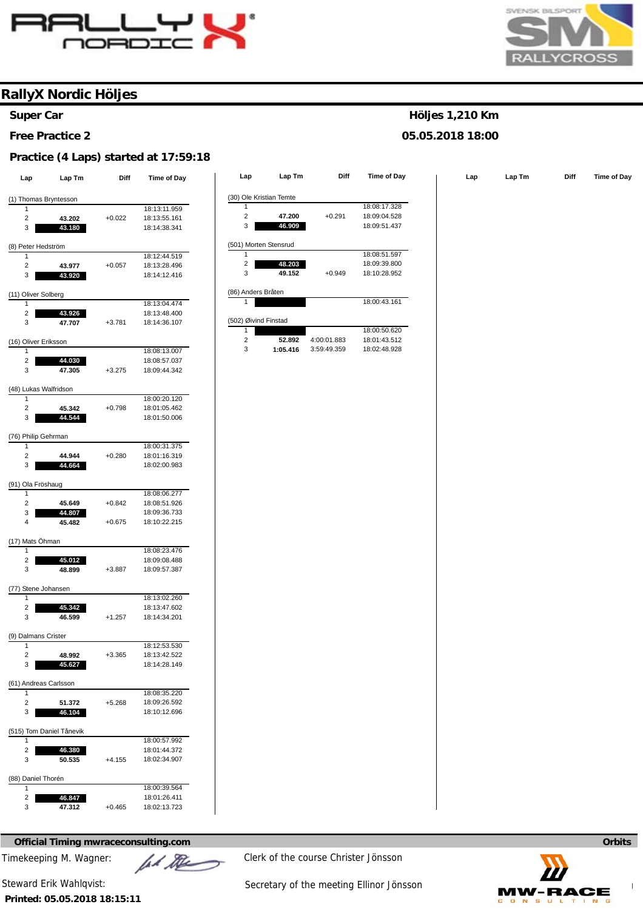



**Höljes 1,210 Km 05.05.2018 18:00** 

### **RallyX Nordic Höljes**

#### **Super Car**

**Free Practice 2** 

#### **Practice (4 Laps) started at 17:59:18**

| Lap                                   | Lap Tm           | Diff     | <b>Time of Day</b>           | Lap                       | Lap Tm   | <b>Diff</b> | Time of Day  | Lap | Lap Tm | Diff | Time of Day |
|---------------------------------------|------------------|----------|------------------------------|---------------------------|----------|-------------|--------------|-----|--------|------|-------------|
|                                       |                  |          |                              | (30) Ole Kristian Temte   |          |             |              |     |        |      |             |
| (1) Thomas Bryntesson<br>$\mathbf{1}$ |                  |          | 18:13:11.959                 | $\mathbf{1}$              |          |             | 18:08:17.328 |     |        |      |             |
| $\overline{c}$                        |                  |          |                              | $\sqrt{2}$                | 47.200   | $+0.291$    | 18:09:04.528 |     |        |      |             |
| 3                                     | 43.202<br>43.180 | $+0.022$ | 18:13:55.161<br>18:14:38.341 | 3                         | 46.909   |             | 18:09:51.437 |     |        |      |             |
|                                       |                  |          |                              |                           |          |             |              |     |        |      |             |
| (8) Peter Hedström                    |                  |          |                              | (501) Morten Stensrud     |          |             |              |     |        |      |             |
| -1                                    |                  |          | 18:12:44.519                 | $\mathbf{1}$              |          |             | 18:08:51.597 |     |        |      |             |
| $\overline{2}$                        | 43.977           | $+0.057$ | 18:13:28.496                 | $\overline{\mathbf{c}}$   | 48.203   |             | 18:09:39.800 |     |        |      |             |
| 3                                     | 43.920           |          | 18:14:12.416                 | $\ensuremath{\mathsf{3}}$ | 49.152   | $+0.949$    | 18:10:28.952 |     |        |      |             |
| (11) Oliver Solberg                   |                  |          |                              | (86) Anders Bråten        |          |             |              |     |        |      |             |
| $\mathbf{1}$                          |                  |          | 18:13:04.474                 | $\mathbf{1}$              |          |             | 18:00:43.161 |     |        |      |             |
| $\overline{c}$                        | 43.926           |          | 18:13:48.400                 |                           |          |             |              |     |        |      |             |
| 3                                     | 47.707           | $+3.781$ | 18:14:36.107                 | (502) Øivind Finstad      |          |             |              |     |        |      |             |
|                                       |                  |          |                              | $\mathbf{1}$              |          |             | 18:00:50.620 |     |        |      |             |
| (16) Oliver Eriksson                  |                  |          |                              | $\sqrt{2}$                | 52.892   | 4:00:01.883 | 18:01:43.512 |     |        |      |             |
| $\mathbf{1}$                          |                  |          | 18:08:13.007                 | $\sqrt{3}$                | 1:05.416 | 3:59:49.359 | 18:02:48.928 |     |        |      |             |
| $\overline{c}$                        | 44.030           |          | 18:08:57.037                 |                           |          |             |              |     |        |      |             |
| 3                                     | 47.305           | $+3.275$ | 18:09:44.342                 |                           |          |             |              |     |        |      |             |
| (48) Lukas Walfridson                 |                  |          |                              |                           |          |             |              |     |        |      |             |
| $\mathbf{1}$                          |                  |          | 18:00:20.120                 |                           |          |             |              |     |        |      |             |
| $\overline{c}$                        | 45.342           | $+0.798$ | 18:01:05.462                 |                           |          |             |              |     |        |      |             |
| 3                                     | 44.544           |          | 18:01:50.006                 |                           |          |             |              |     |        |      |             |
|                                       |                  |          |                              |                           |          |             |              |     |        |      |             |
| (76) Philip Gehrman                   |                  |          |                              |                           |          |             |              |     |        |      |             |
| 1                                     |                  |          | 18:00:31.375                 |                           |          |             |              |     |        |      |             |
| $\overline{c}$                        | 44.944           | $+0.280$ | 18:01:16.319                 |                           |          |             |              |     |        |      |             |
| 3                                     | 44.664           |          | 18:02:00.983                 |                           |          |             |              |     |        |      |             |
| (91) Ola Fröshaug                     |                  |          |                              |                           |          |             |              |     |        |      |             |
| 1                                     |                  |          | 18:08:06.277                 |                           |          |             |              |     |        |      |             |
| $\sqrt{2}$                            | 45.649           | $+0.842$ | 18:08:51.926                 |                           |          |             |              |     |        |      |             |
| 3                                     | 44.807           |          | 18:09:36.733                 |                           |          |             |              |     |        |      |             |
| $\overline{4}$                        | 45.482           | $+0.675$ | 18:10:22.215                 |                           |          |             |              |     |        |      |             |
|                                       |                  |          |                              |                           |          |             |              |     |        |      |             |
| (17) Mats Öhman<br>$\mathbf{1}$       |                  |          | 18:08:23.476                 |                           |          |             |              |     |        |      |             |
| $\sqrt{2}$                            | 45.012           |          | 18:09:08.488                 |                           |          |             |              |     |        |      |             |
| 3                                     | 48.899           | $+3.887$ | 18:09:57.387                 |                           |          |             |              |     |        |      |             |
|                                       |                  |          |                              |                           |          |             |              |     |        |      |             |
| (77) Stene Johansen                   |                  |          |                              |                           |          |             |              |     |        |      |             |
| 1                                     |                  |          | 18:13:02.260                 |                           |          |             |              |     |        |      |             |
| $\overline{c}$                        | 45.342           |          | 18:13:47.602                 |                           |          |             |              |     |        |      |             |
| 3                                     | 46.599           | $+1.257$ | 18:14:34.201                 |                           |          |             |              |     |        |      |             |
| (9) Dalmans Crister                   |                  |          |                              |                           |          |             |              |     |        |      |             |
| $\mathbf{1}$                          |                  |          | 18:12:53.530                 |                           |          |             |              |     |        |      |             |
| $\mathbf{2}$                          | 48.992           | $+3.365$ | 18:13:42.522                 |                           |          |             |              |     |        |      |             |
| 3                                     | 45.627           |          | 18:14:28.149                 |                           |          |             |              |     |        |      |             |
|                                       |                  |          |                              |                           |          |             |              |     |        |      |             |
| (61) Andreas Carlsson<br>$\mathbf{1}$ |                  |          |                              |                           |          |             |              |     |        |      |             |
| $\overline{2}$                        | 51.372           | $+5.268$ | 18:08:35.220<br>18:09:26.592 |                           |          |             |              |     |        |      |             |
| 3                                     | 46.104           |          | 18:10:12.696                 |                           |          |             |              |     |        |      |             |
|                                       |                  |          |                              |                           |          |             |              |     |        |      |             |
| (515) Tom Daniel Tånevik              |                  |          |                              |                           |          |             |              |     |        |      |             |
| $\mathbf{1}$                          |                  |          | 18:00:57.992                 |                           |          |             |              |     |        |      |             |
| $\overline{a}$                        | 46.380           |          | 18:01:44.372                 |                           |          |             |              |     |        |      |             |
| 3                                     | 50.535           | $+4.155$ | 18:02:34.907                 |                           |          |             |              |     |        |      |             |
| (88) Daniel Thorén                    |                  |          |                              |                           |          |             |              |     |        |      |             |
| 1                                     |                  |          | 18:00:39.564                 |                           |          |             |              |     |        |      |             |
| $\overline{a}$                        | 46.847           |          | 18:01:26.411                 |                           |          |             |              |     |        |      |             |
| 3                                     | 47.312           | $+0.465$ | 18:02:13.723                 |                           |          |             |              |     |        |      |             |

**Official Timing mwraceconsulting.com Orbits Orbits <b>Orbits Orbits Orbits Orbits Orbits Orbits** 

Timekeeping M. Wagner:  $\mu$  Music Clerk of the course Christer Jönsson

**Printed: 05.05.2018 18:15:11**  Steward Erik Wahlqvist: Steward Erik Wahlqvist: Secretary of the meeting Ellinor Jönsson

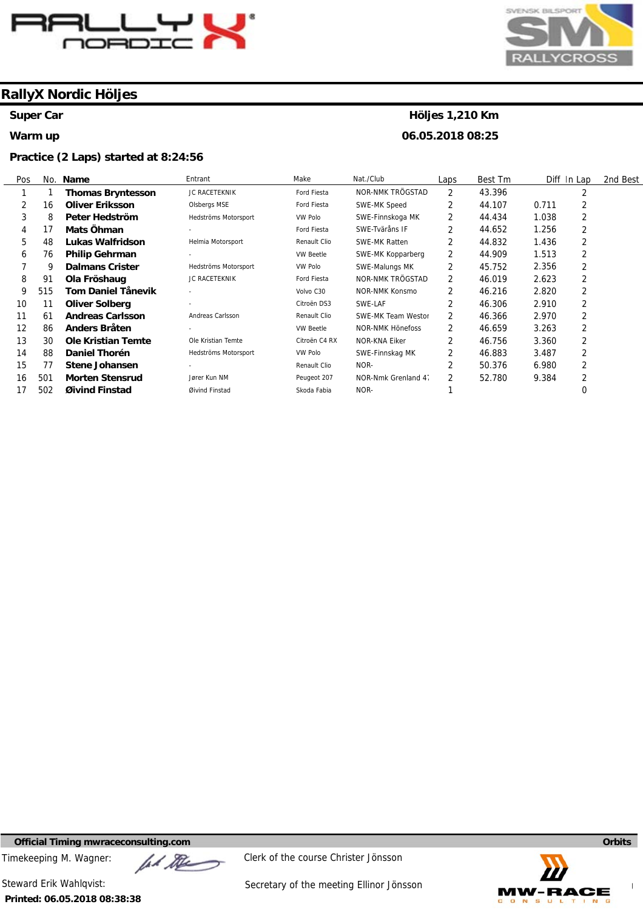

#### **Super Car**

#### **Warm up**

#### **Practice (2 Laps) started at 8:24:56**



# **Höljes 1,210 Km**

**06.05.2018 08:25** 

| Pos |     | No. Name                  | Entrant              | Make             | Nat./Club            | Laps           | Best Tm | Diff In Lap | 2nd Best |
|-----|-----|---------------------------|----------------------|------------------|----------------------|----------------|---------|-------------|----------|
|     |     | <b>Thomas Bryntesson</b>  | JC RACETEKNIK        | Ford Fiesta      | NOR-NMK TRÖGSTAD     | $\overline{2}$ | 43.396  | 2           |          |
|     | 16  | <b>Oliver Eriksson</b>    | Olsbergs MSE         | Ford Fiesta      | SWE-MK Speed         | 2              | 44.107  | 2<br>0.711  |          |
| 3   | 8   | Peter Hedström            | Hedströms Motorsport | VW Polo          | SWE-Finnskoga MK     | $\overline{2}$ | 44.434  | 2<br>1.038  |          |
| 4   | 17  | Mats Öhman                |                      | Ford Fiesta      | SWE-Tväråns IF       | 2              | 44.652  | 2<br>1.256  |          |
| 5   | 48  | Lukas Walfridson          | Helmia Motorsport    | Renault Clio     | <b>SWE-MK Ratten</b> | 2              | 44.832  | 2<br>1.436  |          |
| 6   | 76  | <b>Philip Gehrman</b>     |                      | <b>VW Beetle</b> | SWE-MK Kopparberg    | 2              | 44.909  | 2<br>1.513  |          |
|     | 9   | <b>Dalmans Crister</b>    | Hedströms Motorsport | VW Polo          | SWE-Malungs MK       | 2              | 45.752  | 2<br>2.356  |          |
| 8   | 91  | Ola Fröshaug              | JC RACETEKNIK        | Ford Fiesta      | NOR-NMK TRÖGSTAD     | 2              | 46.019  | 2<br>2.623  |          |
| 9   | 515 | <b>Tom Daniel Tånevik</b> |                      | Volvo C30        | NOR-NMK Konsmo       | 2              | 46.216  | 2<br>2.820  |          |
| 10  | 11  | <b>Oliver Solberg</b>     | ٠                    | Citroën DS3      | SWE-LAF              | 2              | 46.306  | 2<br>2.910  |          |
| 11  | 61  | <b>Andreas Carlsson</b>   | Andreas Carlsson     | Renault Clio     | SWE-MK Team Westor   | $\overline{2}$ | 46.366  | 2<br>2.970  |          |
| 12  | 86  | <b>Anders Bråten</b>      |                      | <b>VW Beetle</b> | NOR-NMK Hönefoss     | $\overline{2}$ | 46.659  | 2<br>3.263  |          |
| 13  | 30  | <b>Ole Kristian Temte</b> | Ole Kristian Temte   | Citroën C4 RX    | NOR-KNA Eiker        | 2              | 46.756  | 2<br>3.360  |          |
| 14  | 88  | Daniel Thorén             | Hedströms Motorsport | VW Polo          | SWE-Finnskag MK      | $\overline{2}$ | 46.883  | 2<br>3.487  |          |
| 15  | 77  | Stene Johansen            |                      | Renault Clio     | NOR-                 | 2              | 50.376  | 2<br>6.980  |          |
| 16  | 501 | <b>Morten Stensrud</b>    | Jører Kun NM         | Peugeot 207      | NOR-Nmk Grenland 4.  | $\overline{2}$ | 52.780  | 2<br>9.384  |          |
| 17  | 502 | Øivind Finstad            | Øivind Finstad       | Skoda Fabia      | NOR-                 |                |         | 0           |          |

**Official Timing mwraceconsulting.com Orbits** 

Timekeeping M. Wagner:  $\mathbb{Z}$   $\mathbb{Z}$  Clerk of the course Christer Jönsson

**Printed: 06.05.2018 08:38:38** 

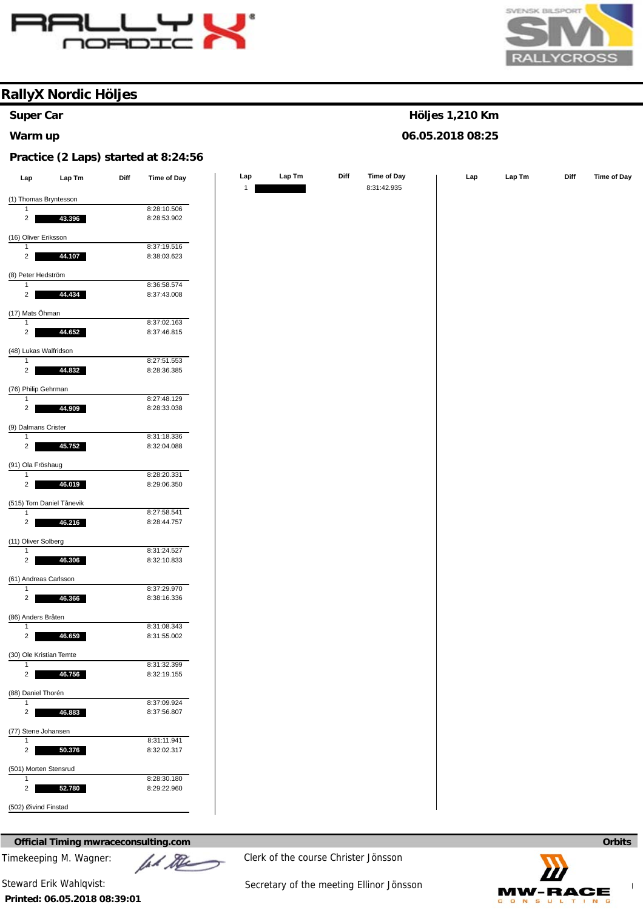



**Höljes 1,210 Km 06.05.2018 08:25** 

### **RallyX Nordic Höljes**

# **Super Car**

#### **Warm up**

#### **Practice (2 Laps) started at 8:24:56**

| Lap                                     | Lap Tm                   | Diff | <b>Time of Day</b> | Lap          | Lap Tm | Diff | Time of Day | Lap | $\ensuremath{\mathsf{Lap}}\xspace\ensuremath{\mathsf{Tm}}\xspace$ | Diff | <b>Time of Day</b> |
|-----------------------------------------|--------------------------|------|--------------------|--------------|--------|------|-------------|-----|-------------------------------------------------------------------|------|--------------------|
|                                         |                          |      |                    | $\mathbf{1}$ |        |      | 8:31:42.935 |     |                                                                   |      |                    |
|                                         | (1) Thomas Bryntesson    |      |                    |              |        |      |             |     |                                                                   |      |                    |
| -1                                      |                          |      | 8:28:10.506        |              |        |      |             |     |                                                                   |      |                    |
| $\overline{2}$                          | 43.396                   |      | 8:28:53.902        |              |        |      |             |     |                                                                   |      |                    |
| (16) Oliver Eriksson                    |                          |      |                    |              |        |      |             |     |                                                                   |      |                    |
| $\mathbf{1}$                            |                          |      | 8:37:19.516        |              |        |      |             |     |                                                                   |      |                    |
| $\overline{2}$                          | 44.107                   |      | 8:38:03.623        |              |        |      |             |     |                                                                   |      |                    |
|                                         |                          |      |                    |              |        |      |             |     |                                                                   |      |                    |
| (8) Peter Hedström                      |                          |      |                    |              |        |      |             |     |                                                                   |      |                    |
| $\overline{1}$                          |                          |      | 8:36:58.574        |              |        |      |             |     |                                                                   |      |                    |
| $2^{\circ}$                             | 44.434                   |      | 8:37:43.008        |              |        |      |             |     |                                                                   |      |                    |
| (17) Mats Öhman                         |                          |      |                    |              |        |      |             |     |                                                                   |      |                    |
| $\mathbf{1}$                            |                          |      | 8:37:02.163        |              |        |      |             |     |                                                                   |      |                    |
| $2^{\circ}$                             | 44.652                   |      | 8:37:46.815        |              |        |      |             |     |                                                                   |      |                    |
|                                         |                          |      |                    |              |        |      |             |     |                                                                   |      |                    |
| (48) Lukas Walfridson<br>$\mathbf{1}$   |                          |      | 8:27:51.553        |              |        |      |             |     |                                                                   |      |                    |
| $\overline{2}$                          | 44.832                   |      | 8:28:36.385        |              |        |      |             |     |                                                                   |      |                    |
|                                         |                          |      |                    |              |        |      |             |     |                                                                   |      |                    |
| (76) Philip Gehrman                     |                          |      |                    |              |        |      |             |     |                                                                   |      |                    |
| $\overline{1}$                          |                          |      | 8:27:48.129        |              |        |      |             |     |                                                                   |      |                    |
| $\overline{2}$                          | 44.909                   |      | 8:28:33.038        |              |        |      |             |     |                                                                   |      |                    |
| (9) Dalmans Crister                     |                          |      |                    |              |        |      |             |     |                                                                   |      |                    |
| $\overline{1}$                          |                          |      | 8:31:18.336        |              |        |      |             |     |                                                                   |      |                    |
| $\overline{a}$                          | 45.752                   |      | 8:32:04.088        |              |        |      |             |     |                                                                   |      |                    |
|                                         |                          |      |                    |              |        |      |             |     |                                                                   |      |                    |
| (91) Ola Fröshaug<br>$\mathbf{1}$       |                          |      | 8:28:20.331        |              |        |      |             |     |                                                                   |      |                    |
| $\overline{2}$                          | 46.019                   |      | 8:29:06.350        |              |        |      |             |     |                                                                   |      |                    |
|                                         |                          |      |                    |              |        |      |             |     |                                                                   |      |                    |
|                                         | (515) Tom Daniel Tånevik |      |                    |              |        |      |             |     |                                                                   |      |                    |
| $\mathbf{1}$                            |                          |      | 8:27:58.541        |              |        |      |             |     |                                                                   |      |                    |
| $\overline{2}$                          | 46.216                   |      | 8:28:44.757        |              |        |      |             |     |                                                                   |      |                    |
| (11) Oliver Solberg                     |                          |      |                    |              |        |      |             |     |                                                                   |      |                    |
| $\mathbf{1}$                            |                          |      | 8:31:24.527        |              |        |      |             |     |                                                                   |      |                    |
| $\overline{2}$                          | 46.306                   |      | 8:32:10.833        |              |        |      |             |     |                                                                   |      |                    |
|                                         |                          |      |                    |              |        |      |             |     |                                                                   |      |                    |
| (61) Andreas Carlsson<br>$\overline{1}$ |                          |      | 8:37:29.970        |              |        |      |             |     |                                                                   |      |                    |
| $\overline{2}$                          | 46.366                   |      | 8:38:16.336        |              |        |      |             |     |                                                                   |      |                    |
|                                         |                          |      |                    |              |        |      |             |     |                                                                   |      |                    |
| (86) Anders Bråten                      |                          |      |                    |              |        |      |             |     |                                                                   |      |                    |
| $\overline{1}$                          |                          |      | 8:31:08.343        |              |        |      |             |     |                                                                   |      |                    |
| $\overline{2}$                          | 46.659                   |      | 8:31:55.002        |              |        |      |             |     |                                                                   |      |                    |
| (30) Ole Kristian Temte                 |                          |      |                    |              |        |      |             |     |                                                                   |      |                    |
| $\mathbf{1}$                            |                          |      | 8:31:32.399        |              |        |      |             |     |                                                                   |      |                    |
| $\overline{2}$                          | 46.756                   |      | 8:32:19.155        |              |        |      |             |     |                                                                   |      |                    |
|                                         |                          |      |                    |              |        |      |             |     |                                                                   |      |                    |
| (88) Daniel Thorén<br>$\mathbf{1}$      |                          |      | 8:37:09.924        |              |        |      |             |     |                                                                   |      |                    |
| $\overline{2}$                          | 46.883                   |      | 8:37:56.807        |              |        |      |             |     |                                                                   |      |                    |
|                                         |                          |      |                    |              |        |      |             |     |                                                                   |      |                    |
| (77) Stene Johansen                     |                          |      |                    |              |        |      |             |     |                                                                   |      |                    |
| $\mathbf{1}$                            |                          |      | 8:31:11.941        |              |        |      |             |     |                                                                   |      |                    |
| $\overline{2}$                          | 50.376                   |      | 8:32:02.317        |              |        |      |             |     |                                                                   |      |                    |
| (501) Morten Stensrud                   |                          |      |                    |              |        |      |             |     |                                                                   |      |                    |
| $\mathbf{1}$                            |                          |      | 8:28:30.180        |              |        |      |             |     |                                                                   |      |                    |
| $\overline{2}$                          | 52.780                   |      | 8:29:22.960        |              |        |      |             |     |                                                                   |      |                    |
|                                         |                          |      |                    |              |        |      |             |     |                                                                   |      |                    |
| (502) Øivind Finstad                    |                          |      |                    |              |        |      |             |     |                                                                   |      |                    |
|                                         |                          |      |                    |              |        |      |             |     |                                                                   |      |                    |

#### **Official Timing mwraceconsulting.com Orbits Orbits <b>Orbits Orbits Orbits Orbits Orbits Orbits**

**Printed: 06.05.2018 08:39:01** 

Timekeeping M. Wagner:  $\mathbb{Z}$   $\mathbb{Z}$  Clerk of the course Christer Jönsson

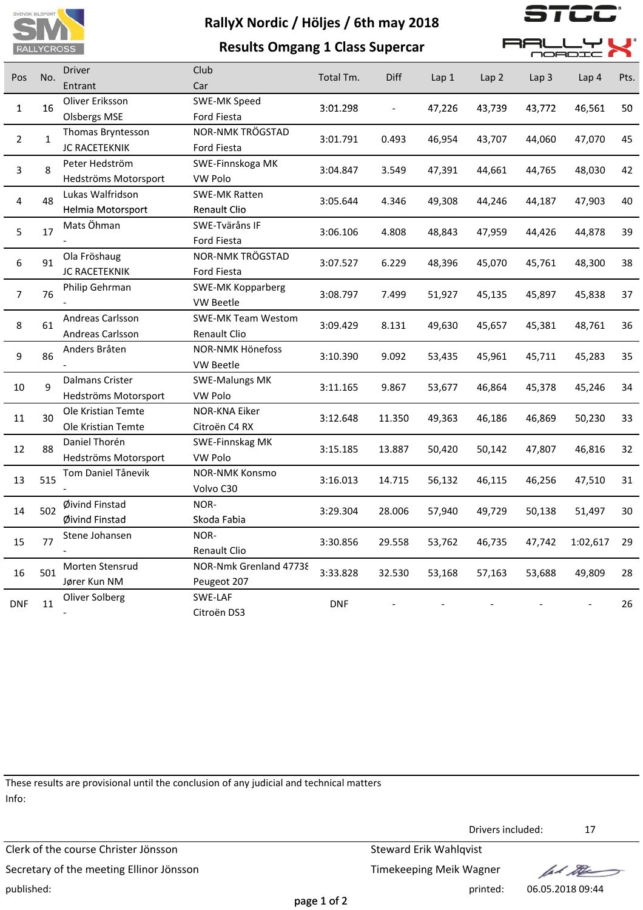

**Results Omgang 1 Class Supercar**



**AALLYL** 

 $\blacksquare$ 

|                |              |                                                |                                           |            |                          |                  |                  |                  | <b>NORDIC 11</b> |      |
|----------------|--------------|------------------------------------------------|-------------------------------------------|------------|--------------------------|------------------|------------------|------------------|------------------|------|
| Pos            | No.          | <b>Driver</b><br>Entrant                       | Club<br>Car                               | Total Tm.  | Diff                     | Lap <sub>1</sub> | Lap <sub>2</sub> | Lap <sub>3</sub> | Lap <sub>4</sub> | Pts. |
| 1              | 16           | Oliver Eriksson<br><b>Olsbergs MSE</b>         | SWE-MK Speed<br>Ford Fiesta               | 3:01.298   | $\overline{\phantom{a}}$ | 47,226           | 43,739           | 43,772           | 46,561           | 50   |
| $\overline{2}$ | $\mathbf{1}$ | Thomas Bryntesson<br>JC RACETEKNIK             | NOR-NMK TRÖGSTAD<br>Ford Fiesta           | 3:01.791   | 0.493                    | 46,954           | 43,707           | 44,060           | 47,070           | 45   |
| 3              | 8            | Peter Hedström<br>Hedströms Motorsport         | SWE-Finnskoga MK<br>VW Polo               | 3:04.847   | 3.549                    | 47,391           | 44,661           | 44,765           | 48,030           | 42   |
| 4              | 48           | Lukas Walfridson<br>Helmia Motorsport          | <b>SWE-MK Ratten</b><br>Renault Clio      | 3:05.644   | 4.346                    | 49,308           | 44,246           | 44,187           | 47,903           | 40   |
| 5              | 17           | Mats Öhman                                     | SWE-Tväråns IF<br>Ford Fiesta             | 3:06.106   | 4.808                    | 48,843           | 47,959           | 44,426           | 44,878           | 39   |
| 6              | 91           | Ola Fröshaug<br>JC RACETEKNIK                  | NOR-NMK TRÖGSTAD<br>Ford Fiesta           | 3:07.527   | 6.229                    | 48,396           | 45,070           | 45,761           | 48,300           | 38   |
| 7              | 76           | Philip Gehrman                                 | <b>SWE-MK Kopparberg</b><br>VW Beetle     | 3:08.797   | 7.499                    | 51,927           | 45,135           | 45,897           | 45,838           | 37   |
| 8              | 61           | Andreas Carlsson<br>Andreas Carlsson           | <b>SWE-MK Team Westom</b><br>Renault Clio | 3:09.429   | 8.131                    | 49,630           | 45,657           | 45,381           | 48,761           | 36   |
| 9              | 86           | Anders Bråten                                  | NOR-NMK Hönefoss<br>VW Beetle             | 3:10.390   | 9.092                    | 53,435           | 45,961           | 45,711           | 45,283           | 35   |
| 10             | 9            | <b>Dalmans Crister</b><br>Hedströms Motorsport | <b>SWE-Malungs MK</b><br>VW Polo          | 3:11.165   | 9.867                    | 53,677           | 46,864           | 45,378           | 45,246           | 34   |
| 11             | 30           | Ole Kristian Temte<br>Ole Kristian Temte       | NOR-KNA Eiker<br>Citroën C4 RX            | 3:12.648   | 11.350                   | 49,363           | 46,186           | 46,869           | 50,230           | 33   |
| 12             | 88           | Daniel Thorén<br>Hedströms Motorsport          | SWE-Finnskag MK<br>VW Polo                | 3:15.185   | 13.887                   | 50,420           | 50,142           | 47,807           | 46,816           | 32   |
| 13             | 515          | Tom Daniel Tånevik                             | <b>NOR-NMK Konsmo</b><br>Volvo C30        | 3:16.013   | 14.715                   | 56,132           | 46,115           | 46,256           | 47,510           | 31   |
| 14             | 502          | Øivind Finstad<br>Øivind Finstad               | NOR-<br>Skoda Fabia                       | 3:29.304   | 28.006                   | 57,940           | 49,729           | 50,138           | 51,497           | 30   |
| 15             | 77           | Stene Johansen                                 | NOR-<br>Renault Clio                      | 3:30.856   | 29.558                   | 53,762           | 46,735           | 47,742           | 1:02,617         | 29   |
| 16             | 501          | Morten Stensrud<br>Jører Kun NM                | NOR-Nmk Grenland 47738<br>Peugeot 207     | 3:33.828   | 32.530                   | 53,168           | 57,163           | 53,688           | 49,809           | 28   |
| <b>DNF</b>     | 11           | Oliver Solberg                                 | SWE-LAF<br>Citroën DS3                    | <b>DNF</b> |                          |                  |                  |                  |                  | 26   |

These results are provisional until the conclusion of any judicial and technical matters Info:

Drivers included: 17 Clerk of the course Christer Jönsson Steward Erik Wahlqvist Secretary of the meeting Ellinor Jönsson Secretary of the meeting Ellinor Jönsson fal the published: printed: 06.05.2018 09:44 page 1 of 2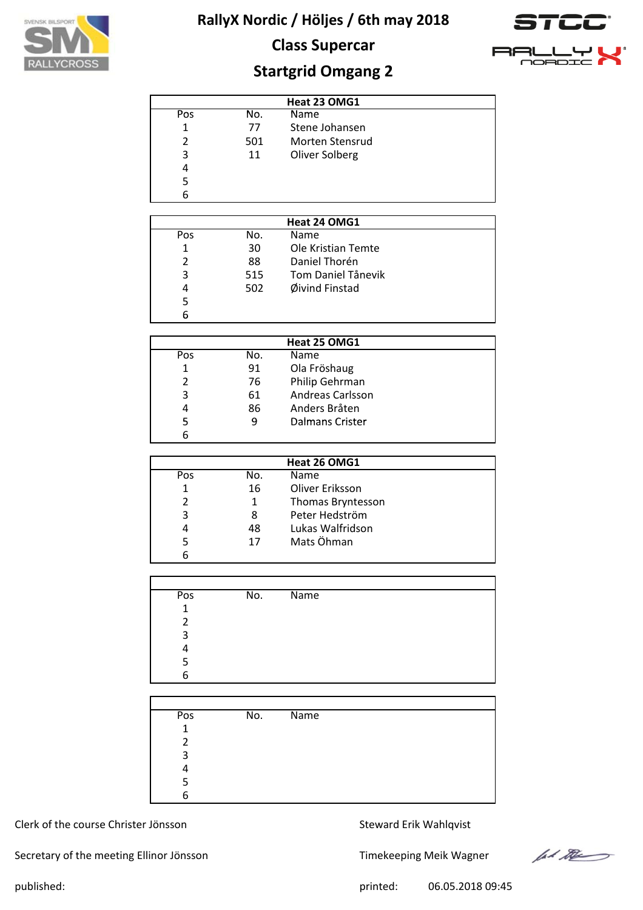

# **Class Supercar**



# **Startgrid Omgang 2**

|     |     | Heat 23 OMG1    |  |
|-----|-----|-----------------|--|
| Pos | No. | Name            |  |
| 1   | 77  | Stene Johansen  |  |
| 2   | 501 | Morten Stensrud |  |
| 3   | 11  | Oliver Solberg  |  |
| 4   |     |                 |  |
| 5   |     |                 |  |
| 6   |     |                 |  |

|     | Heat 24 OMG1 |                    |  |  |  |  |
|-----|--------------|--------------------|--|--|--|--|
| Pos | No.          | Name               |  |  |  |  |
|     | 30           | Ole Kristian Temte |  |  |  |  |
|     | 88           | Daniel Thorén      |  |  |  |  |
| 3   | 515          | Tom Daniel Tånevik |  |  |  |  |
| 4   | 502          | Øivind Finstad     |  |  |  |  |
| 5   |              |                    |  |  |  |  |
|     |              |                    |  |  |  |  |

|     |     | Heat 25 OMG1     |  |
|-----|-----|------------------|--|
| Pos | No. | <b>Name</b>      |  |
| 1   | 91  | Ola Fröshaug     |  |
|     | 76  | Philip Gehrman   |  |
| 3   | 61  | Andreas Carlsson |  |
| 4   | 86  | Anders Bråten    |  |
|     | q   | Dalmans Crister  |  |
|     |     |                  |  |

|               |     | Heat 26 OMG1      |  |
|---------------|-----|-------------------|--|
| Pos           | No. | Name              |  |
| 1             | 16  | Oliver Eriksson   |  |
| $\mathcal{P}$ | 1   | Thomas Bryntesson |  |
| 3             | 8   | Peter Hedström    |  |
| 4             | 48  | Lukas Walfridson  |  |
| 5             | 17  | Mats Öhman        |  |
|               |     |                   |  |

| Pos          | No. | $\overline{\mathsf{Name}}$ |
|--------------|-----|----------------------------|
| $\mathbf{1}$ |     |                            |
| 2            |     |                            |
| 3            |     |                            |
| 4            |     |                            |
| 5            |     |                            |
| 6            |     |                            |

| Pos | No. | Name |
|-----|-----|------|
| 1   |     |      |
| っ   |     |      |
| 3   |     |      |
|     |     |      |
| 5   |     |      |
| 6   |     |      |

#### Clerk of the course Christer Jönsson Steward Erik Wahlqvist

Secretary of the meeting Ellinor Jönsson Timekeeping Meik Wagner



published: 06.05.2018 09:45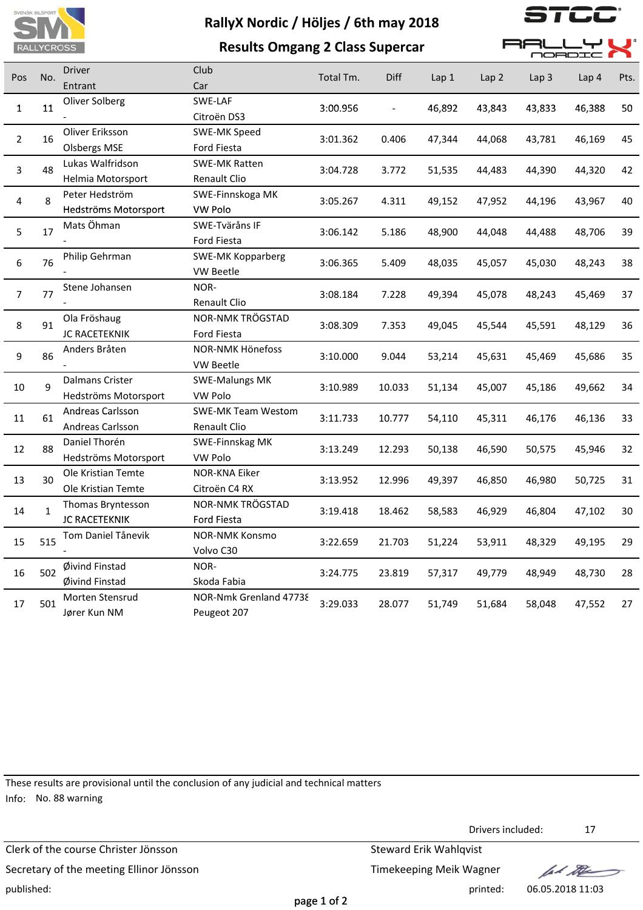

|                         | <b>RALLYCROSS</b> |                                           | <b>Results Omgang 2 Class Supercar</b>    |           |        |        |                  | <b>RA</b><br><b>MORDI</b> |        |      |
|-------------------------|-------------------|-------------------------------------------|-------------------------------------------|-----------|--------|--------|------------------|---------------------------|--------|------|
| Pos                     | No.               | <b>Driver</b><br>Entrant                  | Club<br>Car                               | Total Tm. | Diff   | Lap1   | Lap <sub>2</sub> | Lap <sub>3</sub>          | Lap 4  | Pts. |
| $\mathbf{1}$            | 11                | Oliver Solberg                            | SWE-LAF<br>Citroën DS3                    | 3:00.956  |        | 46,892 | 43,843           | 43,833                    | 46,388 | 50   |
| $\overline{2}$          | 16                | Oliver Eriksson<br><b>Olsbergs MSE</b>    | SWE-MK Speed<br>Ford Fiesta               | 3:01.362  | 0.406  | 47,344 | 44,068           | 43,781                    | 46,169 | 45   |
| 3                       | 48                | Lukas Walfridson<br>Helmia Motorsport     | <b>SWE-MK Ratten</b><br>Renault Clio      | 3:04.728  | 3.772  | 51,535 | 44,483           | 44,390                    | 44,320 | 42   |
| $\overline{\mathbf{4}}$ | 8                 | Peter Hedström<br>Hedströms Motorsport    | SWE-Finnskoga MK<br><b>VW Polo</b>        | 3:05.267  | 4.311  | 49,152 | 47,952           | 44,196                    | 43,967 | 40   |
| 5                       | 17                | Mats Öhman                                | SWE-Tväråns IF<br>Ford Fiesta             | 3:06.142  | 5.186  | 48,900 | 44,048           | 44,488                    | 48,706 | 39   |
| 6                       | 76                | Philip Gehrman                            | <b>SWE-MK Kopparberg</b><br>VW Beetle     | 3:06.365  | 5.409  | 48,035 | 45,057           | 45,030                    | 48,243 | 38   |
| $\overline{7}$          | 77                | Stene Johansen                            | NOR-<br>Renault Clio                      | 3:08.184  | 7.228  | 49,394 | 45,078           | 48,243                    | 45,469 | 37   |
| 8                       | 91                | Ola Fröshaug<br>JC RACETEKNIK             | <b>NOR-NMK TRÖGSTAD</b><br>Ford Fiesta    | 3:08.309  | 7.353  | 49,045 | 45,544           | 45,591                    | 48,129 | 36   |
| 9                       | 86                | Anders Bråten                             | <b>NOR-NMK Hönefoss</b><br>VW Beetle      | 3:10.000  | 9.044  | 53,214 | 45,631           | 45,469                    | 45,686 | 35   |
| 10                      | 9                 | Dalmans Crister<br>Hedströms Motorsport   | <b>SWE-Malungs MK</b><br><b>VW Polo</b>   | 3:10.989  | 10.033 | 51,134 | 45,007           | 45,186                    | 49,662 | 34   |
| 11                      | 61                | Andreas Carlsson<br>Andreas Carlsson      | <b>SWE-MK Team Westom</b><br>Renault Clio | 3:11.733  | 10.777 | 54,110 | 45,311           | 46,176                    | 46,136 | 33   |
| 12                      | 88                | Daniel Thorén<br>Hedströms Motorsport     | SWE-Finnskag MK<br><b>VW Polo</b>         | 3:13.249  | 12.293 | 50,138 | 46,590           | 50,575                    | 45,946 | 32   |
| 13                      | 30                | Ole Kristian Temte<br>Ole Kristian Temte  | NOR-KNA Eiker<br>Citroën C4 RX            | 3:13.952  | 12.996 | 49,397 | 46,850           | 46,980                    | 50,725 | 31   |
| 14                      | $\mathbf{1}$      | Thomas Bryntesson<br><b>JC RACETEKNIK</b> | NOR-NMK TRÖGSTAD<br>Ford Fiesta           | 3:19.418  | 18.462 | 58,583 | 46,929           | 46,804                    | 47,102 | 30   |
| 15                      | 515               | Tom Daniel Tånevik                        | <b>NOR-NMK Konsmo</b><br>Volvo C30        | 3:22.659  | 21.703 | 51,224 | 53,911           | 48,329                    | 49,195 | 29   |
| 16                      | 502               | Øivind Finstad<br>Øivind Finstad          | NOR-<br>Skoda Fabia                       | 3:24.775  | 23.819 | 57,317 | 49,779           | 48,949                    | 48,730 | 28   |
| 17                      | 501               | Morten Stensrud<br>Jører Kun NM           | NOR-Nmk Grenland 47738<br>Peugeot 207     | 3:29.033  | 28.077 | 51,749 | 51,684           | 58,048                    | 47,552 | 27   |

These results are provisional until the conclusion of any judicial and technical matters Info: No. 88 warning

Drivers included: 17 Clerk of the course Christer Jönsson Steward Erik Wahlqvist Secretary of the meeting Ellinor Jönsson Secretary of the meeting Ellinor Jönsson let the published: printed: 06.05.2018 11:03 page 1 of 2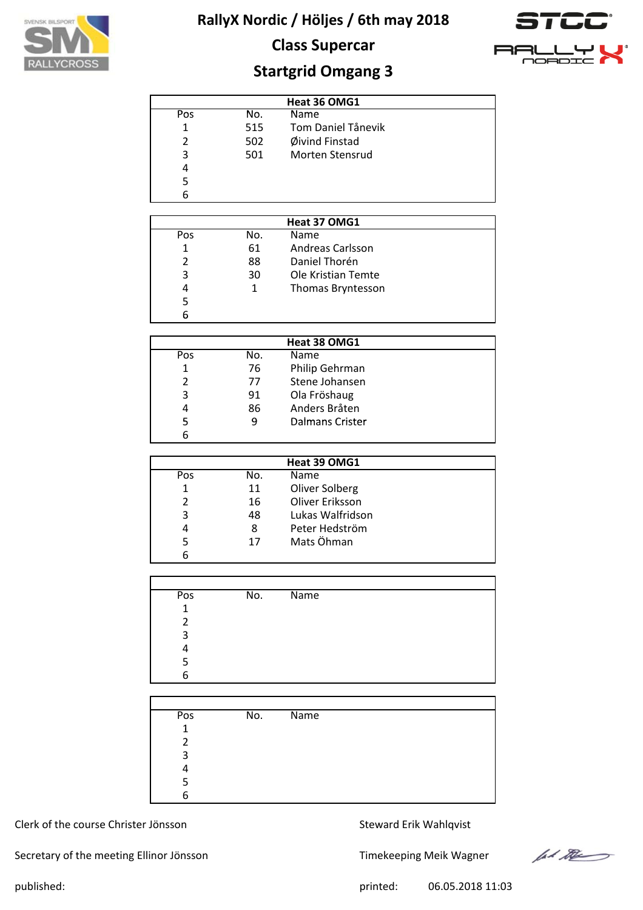





# **Startgrid Omgang 3**

|     |     | Heat 36 OMG1           |  |
|-----|-----|------------------------|--|
| Pos | No. | <b>Name</b>            |  |
| 1   | 515 | Tom Daniel Tånevik     |  |
| 2   | 502 | Øivind Finstad         |  |
| 3   | 501 | <b>Morten Stensrud</b> |  |
| 4   |     |                        |  |
| 5   |     |                        |  |
| 6   |     |                        |  |

|     |     | Heat 37 OMG1       |
|-----|-----|--------------------|
| Pos | No. | <b>Name</b>        |
| 1   | 61  | Andreas Carlsson   |
| 2   | 88  | Daniel Thorén      |
| 3   | 30  | Ole Kristian Temte |
| 4   | 1   | Thomas Bryntesson  |
| 5   |     |                    |
| 6   |     |                    |

|     | Heat 38 OMG1 |                 |  |  |  |  |
|-----|--------------|-----------------|--|--|--|--|
| Pos | No.          | <b>Name</b>     |  |  |  |  |
| 1   | 76           | Philip Gehrman  |  |  |  |  |
|     | 77           | Stene Johansen  |  |  |  |  |
| 3   | 91           | Ola Fröshaug    |  |  |  |  |
| 4   | 86           | Anders Bråten   |  |  |  |  |
| 5   | 9            | Dalmans Crister |  |  |  |  |
| 6   |              |                 |  |  |  |  |

|               |     | Heat 39 OMG1     |  |
|---------------|-----|------------------|--|
| Pos           | No. | Name             |  |
| 1             | 11  | Oliver Solberg   |  |
| $\mathcal{P}$ | 16  | Oliver Eriksson  |  |
| 3             | 48  | Lukas Walfridson |  |
| 4             | 8   | Peter Hedström   |  |
| 5             | 17  | Mats Öhman       |  |
|               |     |                  |  |

| Pos | No. | $\overline{\mathsf{Name}}$ |
|-----|-----|----------------------------|
| 1   |     |                            |
| 2   |     |                            |
| 3   |     |                            |
| 4   |     |                            |
| 5   |     |                            |
| 6   |     |                            |

| Pos         | No. | Name |
|-------------|-----|------|
| $\mathbf 1$ |     |      |
| າ           |     |      |
| 3           |     |      |
|             |     |      |
|             |     |      |
| հ           |     |      |

#### Clerk of the course Christer Jönsson Steward Erik Wahlqvist

Secretary of the meeting Ellinor Jönsson Timekeeping Meik Wagner



published: 06.05.2018 11:03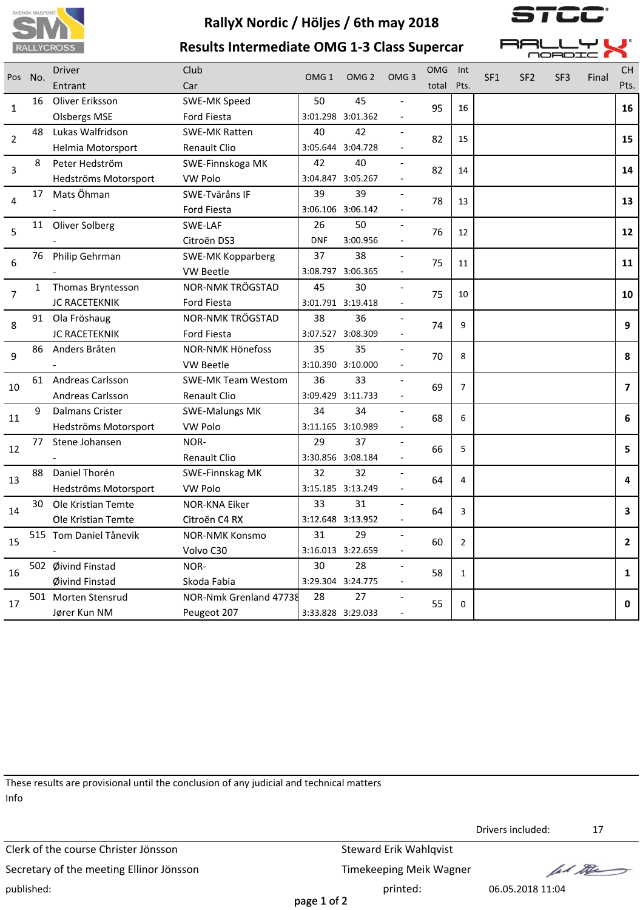





| $\Box$ $\Box$<br>—1 | ◡╹             | I I |
|---------------------|----------------|-----|
|                     |                |     |
|                     | ORDIC <b>M</b> |     |

|                | Pos No.      | Driver                 | Club                      | OMG <sub>1</sub> | OMG <sub>2</sub>  | OMG <sub>3</sub> | <b>OMG</b> | Int            | SF <sub>1</sub> | SF <sub>2</sub> | SF <sub>3</sub> | Final | <b>CH</b>      |
|----------------|--------------|------------------------|---------------------------|------------------|-------------------|------------------|------------|----------------|-----------------|-----------------|-----------------|-------|----------------|
|                |              | Entrant                | Car                       |                  |                   |                  | total      | Pts.           |                 |                 |                 |       | Pts.           |
| 1              | 16           | Oliver Eriksson        | SWE-MK Speed              | 50               | 45                |                  | 95         | 16             |                 |                 |                 |       | 16             |
|                |              | <b>Olsbergs MSE</b>    | Ford Fiesta               |                  | 3:01.298 3:01.362 |                  |            |                |                 |                 |                 |       |                |
| $\overline{2}$ | 48           | Lukas Walfridson       | <b>SWE-MK Ratten</b>      | 40               | 42                |                  | 82         | 15             |                 |                 |                 |       | 15             |
|                |              | Helmia Motorsport      | Renault Clio              |                  | 3:05.644 3:04.728 |                  |            |                |                 |                 |                 |       |                |
| 3              | 8            | Peter Hedström         | SWE-Finnskoga MK          | 42               | 40                |                  | 82         | 14             |                 |                 |                 |       | 14             |
|                |              | Hedströms Motorsport   | <b>VW Polo</b>            |                  | 3:04.847 3:05.267 |                  |            |                |                 |                 |                 |       |                |
| 4              | 17           | Mats Öhman             | SWE-Tväråns IF            | 39               | 39                |                  | 78         | 13             |                 |                 |                 |       | 13             |
|                |              |                        | Ford Fiesta               |                  | 3:06.106 3:06.142 |                  |            |                |                 |                 |                 |       |                |
| 5              | 11           | Oliver Solberg         | SWE-LAF                   | 26               | 50                |                  | 76         | 12             |                 |                 |                 |       | 12             |
|                |              |                        | Citroën DS3               | <b>DNF</b>       | 3:00.956          |                  |            |                |                 |                 |                 |       |                |
|                | 76           | Philip Gehrman         | <b>SWE-MK Kopparberg</b>  | 37               | 38                |                  |            |                |                 |                 |                 |       |                |
| 6              |              |                        | <b>VW Beetle</b>          |                  | 3:08.797 3:06.365 |                  | 75         | 11             |                 |                 |                 |       | 11             |
| $\overline{7}$ | $\mathbf{1}$ | Thomas Bryntesson      | NOR-NMK TRÖGSTAD          | 45               | 30                |                  |            | 10             |                 |                 |                 |       | 10             |
|                |              | JC RACETEKNIK          | Ford Fiesta               |                  | 3:01.791 3:19.418 |                  | 75         |                |                 |                 |                 |       |                |
|                | 91           | Ola Fröshaug           | NOR-NMK TRÖGSTAD          | 38               | 36                |                  |            | 9              |                 |                 |                 |       | 9              |
| 8              |              | <b>JC RACETEKNIK</b>   | <b>Ford Fiesta</b>        |                  | 3:07.527 3:08.309 |                  | 74         |                |                 |                 |                 |       |                |
|                | 86           | Anders Bråten          | <b>NOR-NMK Hönefoss</b>   | 35               | 35                |                  |            |                |                 |                 |                 |       |                |
| 9              |              |                        | <b>VW Beetle</b>          |                  | 3:10.390 3:10.000 |                  | 70         | 8              |                 |                 |                 |       | 8              |
|                |              | 61 Andreas Carlsson    | <b>SWE-MK Team Westom</b> | 36               | 33                |                  |            |                |                 |                 |                 |       |                |
| 10             |              | Andreas Carlsson       | <b>Renault Clio</b>       |                  | 3:09.429 3:11.733 |                  | 69         | $\overline{7}$ |                 |                 |                 |       | $\overline{7}$ |
|                | 9            | Dalmans Crister        | <b>SWE-Malungs MK</b>     | 34               | 34                |                  |            | 6              |                 |                 |                 |       |                |
| 11             |              | Hedströms Motorsport   | VW Polo                   |                  | 3:11.165 3:10.989 |                  | 68         |                |                 |                 |                 |       | 6              |
|                | 77           | Stene Johansen         | NOR-                      | 29               | 37                |                  |            |                |                 |                 |                 |       |                |
| 12             |              |                        | Renault Clio              |                  | 3:30.856 3:08.184 |                  | 66         | 5              |                 |                 |                 |       | 5              |
|                | 88           | Daniel Thorén          | SWE-Finnskag MK           | 32               | 32                |                  |            |                |                 |                 |                 |       |                |
| 13             |              | Hedströms Motorsport   | <b>VW Polo</b>            |                  | 3:15.185 3:13.249 |                  | 64         | 4              |                 |                 |                 |       | 4              |
|                | 30           | Ole Kristian Temte     | <b>NOR-KNA Eiker</b>      | 33               | 31                |                  |            |                |                 |                 |                 |       |                |
| 14             |              | Ole Kristian Temte     | Citroën C4 RX             |                  | 3:12.648 3:13.952 |                  | 64         | 3              |                 |                 |                 |       | 3              |
|                |              | 515 Tom Daniel Tånevik | <b>NOR-NMK Konsmo</b>     | 31               | 29                |                  |            |                |                 |                 |                 |       |                |
| 15             |              |                        | Volvo C30                 |                  | 3:16.013 3:22.659 |                  | 60         | $\overline{2}$ |                 |                 |                 |       | $\mathbf{2}$   |
|                |              | 502 Øivind Finstad     | NOR-                      | 30               | 28                |                  |            |                |                 |                 |                 |       |                |
| 16             |              | Øivind Finstad         | Skoda Fabia               |                  | 3:29.304 3:24.775 |                  | 58         | $\mathbf{1}$   |                 |                 |                 |       | 1              |
|                |              | 501 Morten Stensrud    | NOR-Nmk Grenland 47738    | 28               | 27                |                  |            |                |                 |                 |                 |       |                |
| 17             |              | Jører Kun NM           | Peugeot 207               |                  | 3:33.828 3:29.033 |                  | 55         | 0              |                 |                 |                 |       | 0              |

These results are provisional until the conclusion of any judicial and technical matters Info

Clerk of the course Christer Jönsson Steward Erik Wahlqvist Secretary of the meeting Ellinor Jönsson Timekeeping Meik Wagner published: 06.05.2018 11:04

Drivers included: 17

lad the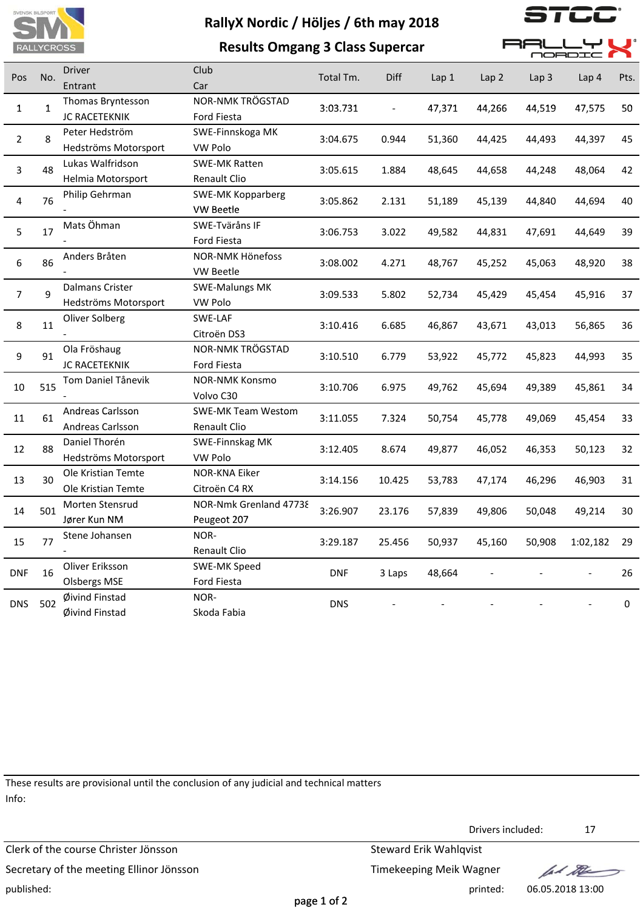

 $\overline{\phantom{a}}$ 

| <b>RALLYCROSS</b> |              |                        | <b>Results Omgang 3 Class Supercar</b> |            |        |                  |        | 36<br>OORD       |          |      |  |
|-------------------|--------------|------------------------|----------------------------------------|------------|--------|------------------|--------|------------------|----------|------|--|
|                   | No.          | <b>Driver</b>          | Club                                   | Total Tm.  | Diff   |                  |        |                  |          |      |  |
| Pos               |              | Entrant                | Car                                    |            |        | Lap <sub>1</sub> | Lap 2  | Lap <sub>3</sub> | Lap 4    | Pts. |  |
| 1                 | $\mathbf{1}$ | Thomas Bryntesson      | NOR-NMK TRÖGSTAD                       | 3:03.731   |        | 47,371           | 44,266 | 44,519           | 47,575   | 50   |  |
|                   |              | <b>JC RACETEKNIK</b>   | <b>Ford Fiesta</b>                     |            |        |                  |        |                  |          |      |  |
| $\overline{2}$    | 8            | Peter Hedström         | SWE-Finnskoga MK                       | 3:04.675   | 0.944  | 51,360           | 44,425 | 44,493           | 44,397   | 45   |  |
|                   |              | Hedströms Motorsport   | VW Polo                                |            |        |                  |        |                  |          |      |  |
| 3                 | 48           | Lukas Walfridson       | <b>SWE-MK Ratten</b>                   | 3:05.615   | 1.884  | 48,645           | 44,658 | 44,248           | 48,064   | 42   |  |
|                   |              | Helmia Motorsport      | Renault Clio                           |            |        |                  |        |                  |          |      |  |
| 4                 | 76           | Philip Gehrman         | SWE-MK Kopparberg                      | 3:05.862   | 2.131  | 51,189           | 45,139 | 44,840           | 44,694   | 40   |  |
|                   |              |                        | <b>VW Beetle</b>                       |            |        |                  |        |                  |          |      |  |
| 5                 | 17           | Mats Öhman             | SWE-Tväråns IF                         | 3:06.753   | 3.022  | 49,582           | 44,831 | 47,691           | 44,649   | 39   |  |
|                   |              |                        | Ford Fiesta                            |            |        |                  |        |                  |          |      |  |
| 6                 | 86           | Anders Bråten          | NOR-NMK Hönefoss                       | 3:08.002   | 4.271  | 48,767           | 45,252 | 45,063           | 48,920   | 38   |  |
|                   |              |                        | VW Beetle                              |            |        |                  |        |                  |          |      |  |
| $\overline{7}$    | 9            | <b>Dalmans Crister</b> | <b>SWE-Malungs MK</b>                  | 3:09.533   | 5.802  | 52,734           | 45,429 | 45,454           | 45,916   | 37   |  |
|                   |              | Hedströms Motorsport   | VW Polo                                |            |        |                  |        |                  |          |      |  |
| 8                 | 11           | Oliver Solberg         | SWE-LAF                                | 3:10.416   | 6.685  | 46,867           | 43,671 | 43,013           | 56,865   | 36   |  |
|                   |              |                        | Citroën DS3                            |            |        |                  |        |                  |          |      |  |
| 9                 | 91           | Ola Fröshaug           | NOR-NMK TRÖGSTAD                       | 3:10.510   | 6.779  | 53,922           | 45,772 | 45,823           | 44,993   | 35   |  |
|                   |              | <b>JC RACETEKNIK</b>   | <b>Ford Fiesta</b>                     |            |        |                  |        |                  |          |      |  |
| 10                | 515          | Tom Daniel Tånevik     | <b>NOR-NMK Konsmo</b>                  | 3:10.706   | 6.975  | 49,762           | 45,694 | 49,389           | 45,861   | 34   |  |
|                   |              |                        | Volvo C30                              |            |        |                  |        |                  |          |      |  |
| 11                | 61           | Andreas Carlsson       | <b>SWE-MK Team Westom</b>              | 3:11.055   | 7.324  | 50,754           | 45,778 | 49,069           | 45,454   | 33   |  |
|                   |              | Andreas Carlsson       | Renault Clio                           |            |        |                  |        |                  |          |      |  |
| 12                | 88           | Daniel Thorén          | SWE-Finnskag MK                        | 3:12.405   | 8.674  | 49,877           | 46,052 | 46,353           | 50,123   | 32   |  |
|                   |              | Hedströms Motorsport   | VW Polo                                |            |        |                  |        |                  |          |      |  |
| 13                | 30           | Ole Kristian Temte     | NOR-KNA Eiker                          | 3:14.156   | 10.425 | 53,783           | 47,174 | 46,296           | 46,903   | 31   |  |
|                   |              | Ole Kristian Temte     | Citroën C4 RX                          |            |        |                  |        |                  |          |      |  |
| 14                | 501          | Morten Stensrud        | NOR-Nmk Grenland 47738                 | 3:26.907   | 23.176 | 57,839           | 49,806 | 50,048           | 49,214   | 30   |  |
|                   |              | Jører Kun NM           | Peugeot 207                            |            |        |                  |        |                  |          |      |  |
| 15                | 77           | Stene Johansen         | NOR-                                   | 3:29.187   | 25.456 | 50,937           | 45,160 | 50,908           | 1:02,182 | 29   |  |
|                   |              |                        | Renault Clio                           |            |        |                  |        |                  |          |      |  |
| <b>DNF</b>        | 16           | Oliver Eriksson        | SWE-MK Speed                           | <b>DNF</b> | 3 Laps | 48,664           |        |                  |          | 26   |  |
|                   |              | <b>Olsbergs MSE</b>    | Ford Fiesta                            |            |        |                  |        |                  |          |      |  |
| <b>DNS</b>        | 502          | Øivind Finstad         | NOR-                                   | <b>DNS</b> |        |                  |        |                  |          | 0    |  |
|                   |              | Øivind Finstad         | Skoda Fabia                            |            |        |                  |        |                  |          |      |  |

These results are provisional until the conclusion of any judicial and technical matters Info:

Drivers included: 17 Clerk of the course Christer Jönsson Steward Erik Wahlqvist Secretary of the meeting Ellinor Jönsson Secretary of the meeting Ellinor Jönsson lad the published: printed: 06.05.2018 13:00 page 1 of 2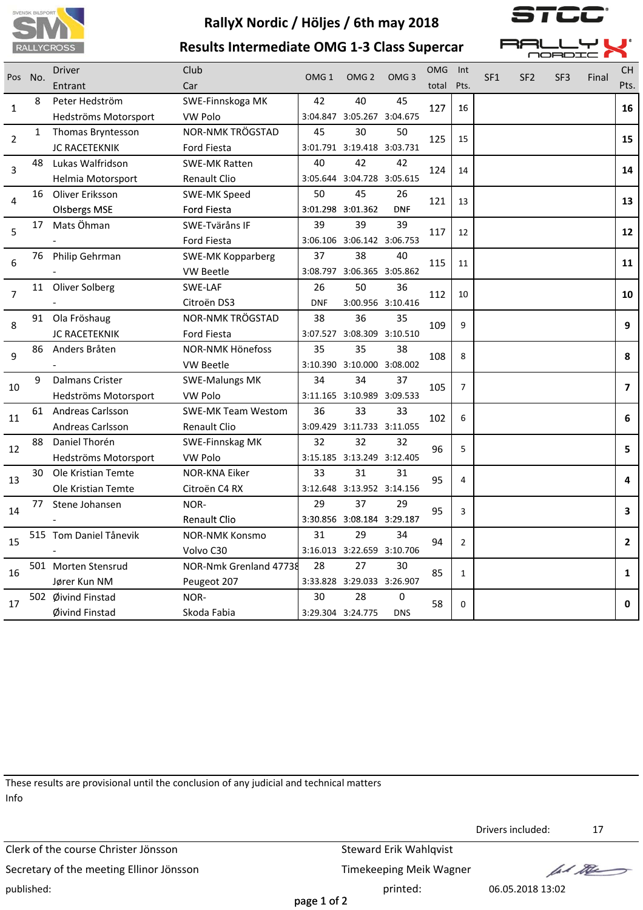





| it is a<br>د ب<br>— | a ser        |  |
|---------------------|--------------|--|
| <u>ה המדרכה</u>     | $\mathbf{r}$ |  |

| Pos No.        |    | <b>Driver</b>           | Club                      | OMG <sub>1</sub> | OMG <sub>2</sub>           | OMG <sub>3</sub>  | <b>OMG</b> | Int            | SF <sub>1</sub> | SF <sub>2</sub> | SF <sub>3</sub> | Final | <b>CH</b>      |
|----------------|----|-------------------------|---------------------------|------------------|----------------------------|-------------------|------------|----------------|-----------------|-----------------|-----------------|-------|----------------|
|                |    | Entrant                 | Car                       |                  |                            |                   | total      | Pts.           |                 |                 |                 |       | Pts.           |
| 1              | 8  | Peter Hedström          | SWE-Finnskoga MK          | 42               | 40                         | 45                | 127        | 16             |                 |                 |                 |       | 16             |
|                |    | Hedströms Motorsport    | <b>VW Polo</b>            |                  | 3:04.847 3:05.267 3:04.675 |                   |            |                |                 |                 |                 |       |                |
| 2              | 1  | Thomas Bryntesson       | NOR-NMK TRÖGSTAD          | 45               | 30                         | 50                | 125        | 15             |                 |                 |                 |       | 15             |
|                |    | JC RACETEKNIK           | <b>Ford Fiesta</b>        |                  | 3:01.791 3:19.418 3:03.731 |                   |            |                |                 |                 |                 |       |                |
| 3              | 48 | Lukas Walfridson        | <b>SWE-MK Ratten</b>      | 40               | 42                         | 42                | 124        | 14             |                 |                 |                 |       | 14             |
|                |    | Helmia Motorsport       | <b>Renault Clio</b>       |                  | 3:05.644 3:04.728 3:05.615 |                   |            |                |                 |                 |                 |       |                |
| 4              | 16 | Oliver Eriksson         | SWE-MK Speed              | 50               | 45                         | 26                | 121        | 13             |                 |                 |                 |       | 13             |
|                |    | <b>Olsbergs MSE</b>     | Ford Fiesta               |                  | 3:01.298 3:01.362          | <b>DNF</b>        |            |                |                 |                 |                 |       |                |
| 5              | 17 | Mats Öhman              | SWE-Tväråns IF            | 39               | 39                         | 39                | 117        | 12             |                 |                 |                 |       | 12             |
|                |    |                         | Ford Fiesta               |                  | 3:06.106 3:06.142 3:06.753 |                   |            |                |                 |                 |                 |       |                |
| 6              | 76 | Philip Gehrman          | <b>SWE-MK Kopparberg</b>  | 37               | 38                         | 40                | 115        | 11             |                 |                 |                 |       | 11             |
|                |    |                         | VW Beetle                 |                  | 3:08.797 3:06.365 3:05.862 |                   |            |                |                 |                 |                 |       |                |
| $\overline{7}$ | 11 | Oliver Solberg          | SWE-LAF                   | 26               | 50                         | 36                | 112        | 10             |                 |                 |                 |       | 10             |
|                |    |                         | Citroën DS3               | <b>DNF</b>       |                            | 3:00.956 3:10.416 |            |                |                 |                 |                 |       |                |
| 8              | 91 | Ola Fröshaug            | NOR-NMK TRÖGSTAD          | 38               | 36                         | 35                | 109        | 9              |                 |                 |                 |       | 9              |
|                |    | <b>JC RACETEKNIK</b>    | <b>Ford Fiesta</b>        |                  | 3:07.527 3:08.309 3:10.510 |                   |            |                |                 |                 |                 |       |                |
| 9              | 86 | Anders Bråten           | <b>NOR-NMK Hönefoss</b>   | 35               | 35                         | 38                | 108        | 8              |                 |                 |                 |       | 8              |
|                |    |                         | <b>VW Beetle</b>          |                  | 3:10.390 3:10.000 3:08.002 |                   |            |                |                 |                 |                 |       |                |
| 10             | 9  | <b>Dalmans Crister</b>  | <b>SWE-Malungs MK</b>     | 34               | 34                         | 37                | 105        | $\overline{7}$ |                 |                 |                 |       | $\overline{7}$ |
|                |    | Hedströms Motorsport    | <b>VW Polo</b>            |                  | 3:11.165 3:10.989 3:09.533 |                   |            |                |                 |                 |                 |       |                |
| 11             | 61 | Andreas Carlsson        | <b>SWE-MK Team Westom</b> | 36               | 33                         | 33                | 102        | 6              |                 |                 |                 |       | 6              |
|                |    | <b>Andreas Carlsson</b> | Renault Clio              |                  | 3:09.429 3:11.733 3:11.055 |                   |            |                |                 |                 |                 |       |                |
| 12             | 88 | Daniel Thorén           | <b>SWE-Finnskag MK</b>    | 32               | 32                         | 32                | 96         | 5              |                 |                 |                 |       | 5              |
|                |    | Hedströms Motorsport    | <b>VW Polo</b>            |                  | 3:15.185 3:13.249 3:12.405 |                   |            |                |                 |                 |                 |       |                |
| 13             | 30 | Ole Kristian Temte      | <b>NOR-KNA Eiker</b>      | 33               | 31                         | 31                | 95         | 4              |                 |                 |                 |       | 4              |
|                |    | Ole Kristian Temte      | Citroën C4 RX             |                  | 3:12.648 3:13.952 3:14.156 |                   |            |                |                 |                 |                 |       |                |
| 14             | 77 | Stene Johansen          | NOR-                      | 29               | 37                         | 29                | 95         | 3              |                 |                 |                 |       | 3              |
|                |    |                         | Renault Clio              |                  | 3:30.856 3:08.184 3:29.187 |                   |            |                |                 |                 |                 |       |                |
| 15             |    | 515 Tom Daniel Tånevik  | <b>NOR-NMK Konsmo</b>     | 31               | 29                         | 34                | 94         | $\overline{2}$ |                 |                 |                 |       | $\overline{2}$ |
|                |    |                         | Volvo C30                 |                  | 3:16.013 3:22.659 3:10.706 |                   |            |                |                 |                 |                 |       |                |
| 16             |    | 501 Morten Stensrud     | NOR-Nmk Grenland 47738    | 28               | 27                         | 30                | 85         | $\mathbf{1}$   |                 |                 |                 |       | 1              |
|                |    | Jører Kun NM            | Peugeot 207               |                  | 3:33.828 3:29.033 3:26.907 |                   |            |                |                 |                 |                 |       |                |
| 17             |    | 502 Øivind Finstad      | NOR-                      | 30               | 28                         | 0                 | 58         | $\Omega$       |                 |                 |                 |       | $\mathbf{0}$   |
|                |    | Øivind Finstad          | Skoda Fabia               |                  | 3:29.304 3:24.775          | <b>DNS</b>        |            |                |                 |                 |                 |       |                |

These results are provisional until the conclusion of any judicial and technical matters Info

Clerk of the course Christer Jönsson Steward Erik Wahlqvist Secretary of the meeting Ellinor Jönsson Timekeeping Meik Wagner published: 06.05.2018 13:02

Drivers included: 17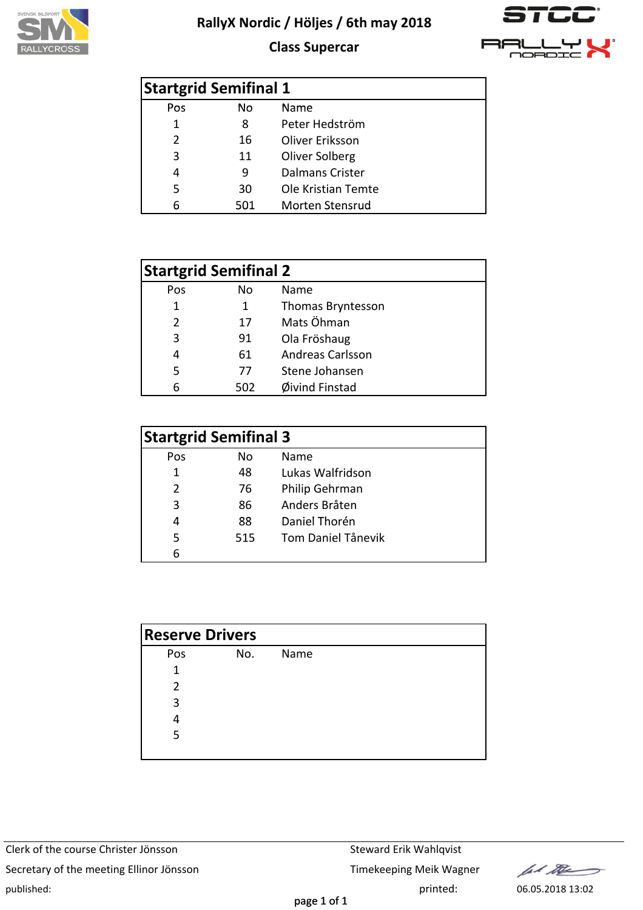





|     | <b>Startgrid Semifinal 1</b> |                        |
|-----|------------------------------|------------------------|
| Pos | No                           | Name                   |
| 1   | 8                            | Peter Hedström         |
| 2   | 16                           | Oliver Eriksson        |
| 3   | 11                           | Oliver Solberg         |
| 4   | 9                            | Dalmans Crister        |
| 5   | 30                           | Ole Kristian Temte     |
|     | 501                          | <b>Morten Stensrud</b> |

| <b>Startgrid Semifinal 2</b> |     |                         |  |  |  |  |
|------------------------------|-----|-------------------------|--|--|--|--|
| Pos                          | No. | Name                    |  |  |  |  |
| 1                            | 1   | Thomas Bryntesson       |  |  |  |  |
| $\mathcal{P}$                | 17  | Mats Öhman              |  |  |  |  |
| 3                            | 91  | Ola Fröshaug            |  |  |  |  |
| 4                            | 61  | <b>Andreas Carlsson</b> |  |  |  |  |
| 5                            | 77  | Stene Johansen          |  |  |  |  |
|                              | 502 | Øivind Finstad          |  |  |  |  |

| <b>Startgrid Semifinal 3</b> |     |                           |  |  |  |  |
|------------------------------|-----|---------------------------|--|--|--|--|
| Pos                          | No  | Name                      |  |  |  |  |
| 1                            | 48  | Lukas Walfridson          |  |  |  |  |
| $\mathcal{P}$                | 76  | Philip Gehrman            |  |  |  |  |
| 3                            | 86  | Anders Bråten             |  |  |  |  |
| 4                            | 88  | Daniel Thorén             |  |  |  |  |
| 5                            | 515 | <b>Tom Daniel Tånevik</b> |  |  |  |  |
|                              |     |                           |  |  |  |  |

| <b>Reserve Drivers</b> |     |      |
|------------------------|-----|------|
| Pos                    | No. | Name |
| 1                      |     |      |
| 2                      |     |      |
| 3                      |     |      |
| 4                      |     |      |
| 5                      |     |      |
|                        |     |      |

Clerk of the course Christer Jönsson Steward Erik Wahlqvist Secretary of the meeting Ellinor Jönsson Timekeeping Meik Wagner published: 06.05.2018 13:02

lad the  $\Rightarrow$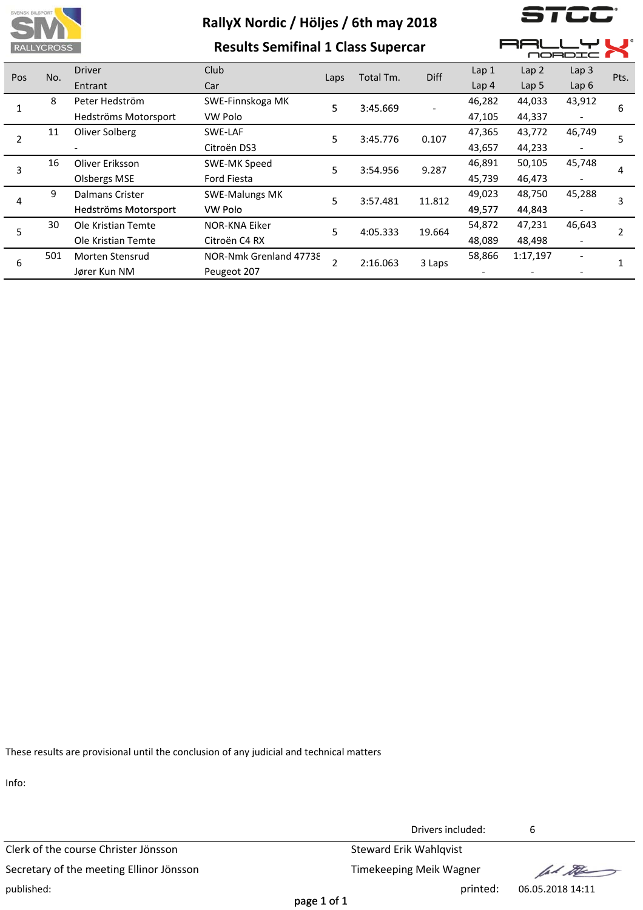

*I* LI

| ___<br><b>RALLYCROSS</b> |     |                           | <b>Results Semifinal 1 Class Supercar</b> | MORDI                   |           |             |                  |                  |                              |      |
|--------------------------|-----|---------------------------|-------------------------------------------|-------------------------|-----------|-------------|------------------|------------------|------------------------------|------|
| Pos                      | No. | <b>Driver</b>             | Club                                      |                         | Total Tm. | <b>Diff</b> | Lap <sub>1</sub> | Lap <sub>2</sub> | Lap <sub>3</sub>             | Pts. |
|                          |     | Entrant                   | Car                                       | Laps                    |           |             | Lap <sub>4</sub> | Lap <sub>5</sub> | Lap6                         |      |
|                          | 8   | Peter Hedström            | SWE-Finnskoga MK                          | 5                       | 3:45.669  |             | 46,282           | 44,033           | 43,912                       | 6    |
|                          |     | Hedströms Motorsport      | VW Polo                                   |                         |           |             | 47,105           | 44,337           |                              |      |
|                          | 11  | Oliver Solberg<br>SWE-LAF |                                           | 5                       | 3:45.776  | 0.107       | 47,365           | 43,772           | 46,749                       | 5    |
|                          |     |                           | Citroën DS3                               |                         |           |             | 43,657           | 44,233           |                              |      |
| 3                        | 16  | Oliver Eriksson           | SWE-MK Speed                              | 5                       | 3:54.956  | 9.287       | 46,891           | 50,105           | 45,748                       | 4    |
|                          |     | Olsbergs MSE              | Ford Fiesta                               |                         |           |             | 45,739           | 46,473           |                              |      |
| 4                        | 9   | Dalmans Crister           | <b>SWE-Malungs MK</b>                     | 5                       | 3:57.481  | 11.812      | 49,023           | 48,750           | 45,288                       | 3    |
|                          |     | Hedströms Motorsport      | VW Polo                                   |                         |           |             | 49,577           | 44,843           |                              |      |
| 5                        | 30  | Ole Kristian Temte        | NOR-KNA Eiker                             | 5                       | 4:05.333  | 19.664      | 54,872           | 47,231           | 46,643                       | 2    |
|                          |     | Ole Kristian Temte        | Citroën C4 RX                             |                         |           |             | 48,089           | 48,498           | $\qquad \qquad \blacksquare$ |      |
| 6                        | 501 | Morten Stensrud           | NOR-Nmk Grenland 47738                    | $\overline{\mathbf{c}}$ | 2:16.063  | 3 Laps      | 58,866           | 1:17,197         |                              |      |
|                          |     | Jører Kun NM              | Peugeot 207                               |                         |           |             |                  |                  |                              |      |

These results are provisional until the conclusion of any judicial and technical matters

Info:

Clerk of the course Christer Jönsson Steward Erik Wahlqvist Secretary of the meeting Ellinor Jönsson Timekeeping Meik Wagner published: printed: 06.05.2018 14:11

Drivers included: 6

fel the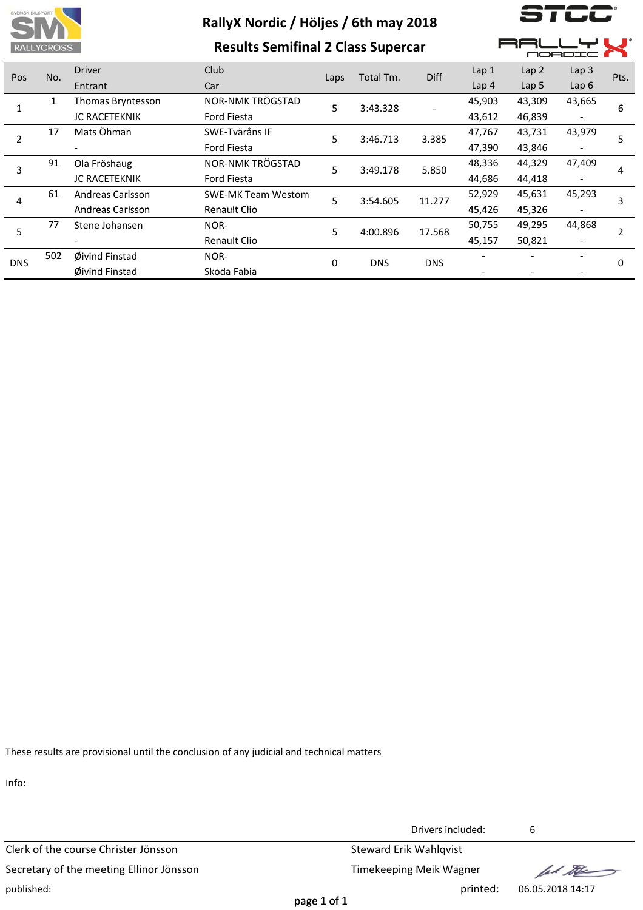

**Results Semifinal 2 Class Supercar**

) **| L**L

**AALLYL** 

|            |     |                                                      |                     |      |            |            |                  |                  | <b>MORDIC</b>    |      |  |  |
|------------|-----|------------------------------------------------------|---------------------|------|------------|------------|------------------|------------------|------------------|------|--|--|
| Pos        | No. | <b>Driver</b>                                        | Club                | Laps | Total Tm.  | Diff       | Lap <sub>1</sub> | Lap <sub>2</sub> | Lap <sub>3</sub> | Pts. |  |  |
|            |     | Entrant                                              | Car                 |      |            |            | Lap <sub>4</sub> | Lap $5$          | Lap6             |      |  |  |
|            |     | Thomas Bryntesson                                    | NOR-NMK TRÖGSTAD    | 5    | 3:43.328   |            | 45,903           | 43,309           | 43,665           | 6    |  |  |
|            |     | <b>JC RACETEKNIK</b>                                 | Ford Fiesta         |      |            |            | 43,612           | 46,839           |                  |      |  |  |
| 2          | 17  | Mats Öhman                                           | SWE-Tväråns IF      | 5    | 3:46.713   | 3.385      | 47,767           | 43,731           | 43,979           |      |  |  |
|            |     |                                                      | Ford Fiesta         |      |            |            | 47,390           | 43,846           |                  |      |  |  |
| 3          | 91  | Ola Fröshaug                                         | NOR-NMK TRÖGSTAD    | 5    | 3:49.178   | 5.850      | 48,336           | 44,329           | 47,409           | 4    |  |  |
|            |     | <b>JC RACETEKNIK</b>                                 | Ford Fiesta         |      |            |            | 44,686           | 44,418           |                  |      |  |  |
| 4          | 61  | <b>Andreas Carlsson</b><br><b>SWE-MK Team Westom</b> |                     | 5    | 3:54.605   | 11.277     | 52,929           | 45,631           | 45,293           |      |  |  |
|            |     | Andreas Carlsson                                     | <b>Renault Clio</b> |      |            |            | 45,426           | 45,326           |                  | 3    |  |  |
| 5          | 77  | Stene Johansen                                       | NOR-                | 5    | 4:00.896   | 17.568     | 50,755           | 49,295           | 44,868           |      |  |  |
|            |     |                                                      | <b>Renault Clio</b> |      |            |            | 45,157           | 50,821           |                  |      |  |  |
|            | 502 | Øivind Finstad                                       | NOR-                | 0    | <b>DNS</b> | <b>DNS</b> |                  |                  |                  | 0    |  |  |
| <b>DNS</b> |     | Øivind Finstad                                       | Skoda Fabia         |      |            |            |                  |                  |                  |      |  |  |
|            |     |                                                      |                     |      |            |            |                  |                  |                  |      |  |  |

These results are provisional until the conclusion of any judicial and technical matters

Info:

Clerk of the course Christer Jönsson Steward Erik Wahlqvist Secretary of the meeting Ellinor Jönsson Timekeeping Meik Wagner published: printed: 06.05.2018 14:17

Drivers included: 6

let the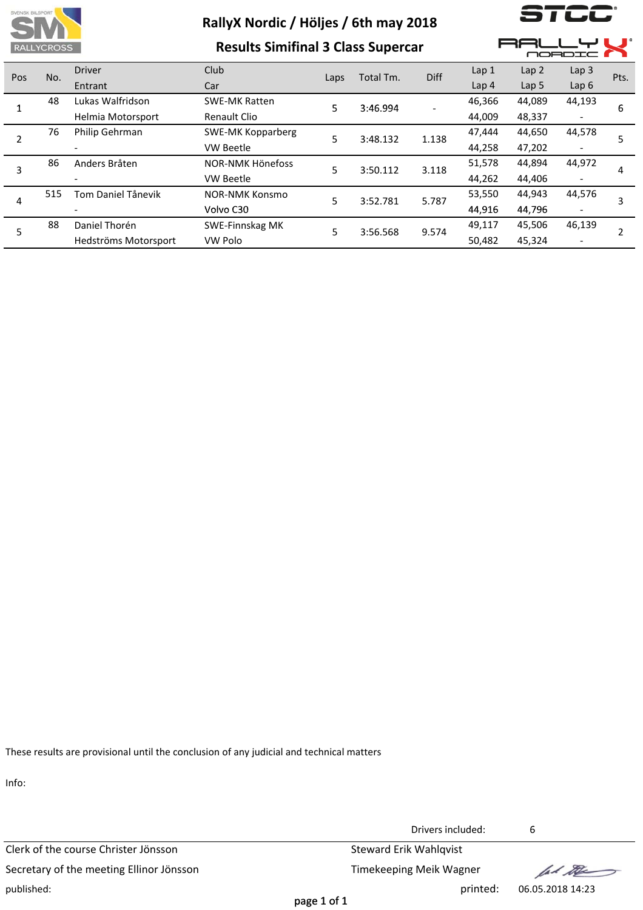

**Results Simifinal 3 Class Supercar**

 $\overline{\phantom{a}}$   $\overline{\phantom{a}}$ 

**AALLYL** 

| <u>1980 - 1980 - 1980 - 1980 - 1980 - 1980 - 1980 - 1980 - 1980 - 1980 - 1980 - 1980 - 1980 - 1980 - 1980 - 1980 - 1980 - 1980 - 1980 - 1980 - 1980 - 1980 - 1980 - 1980 - 1980 - 1980 - 1980 - 1980 - 1980 - 1980 - 1980 - 1980</u> |     |                           | Nesans Shimmar S elass sapereal |      |           |       |                  |                  | MORDIC           |      |  |  |
|--------------------------------------------------------------------------------------------------------------------------------------------------------------------------------------------------------------------------------------|-----|---------------------------|---------------------------------|------|-----------|-------|------------------|------------------|------------------|------|--|--|
| Pos                                                                                                                                                                                                                                  | No. | <b>Driver</b>             | Club                            | Laps | Total Tm. | Diff  | Lap 1            | Lap <sub>2</sub> | Lap <sub>3</sub> | Pts. |  |  |
|                                                                                                                                                                                                                                      |     | Entrant                   | Car                             |      |           |       | Lap <sub>4</sub> | Lap <sub>5</sub> | Lap6             |      |  |  |
|                                                                                                                                                                                                                                      | 48  | Lukas Walfridson          | <b>SWE-MK Ratten</b>            | 5    | 3:46.994  |       | 46,366           | 44,089           | 44,193           | 6    |  |  |
|                                                                                                                                                                                                                                      |     | Helmia Motorsport         | Renault Clio                    |      |           |       | 44,009           | 48,337           |                  |      |  |  |
| 2                                                                                                                                                                                                                                    | 76  | Philip Gehrman            | <b>SWE-MK Kopparberg</b>        | 5    | 3:48.132  | 1.138 | 47,444           | 44,650           | 44,578           |      |  |  |
|                                                                                                                                                                                                                                      |     |                           | <b>VW Beetle</b>                |      |           |       | 44,258           | 47,202           |                  |      |  |  |
| 3                                                                                                                                                                                                                                    | 86  | Anders Bråten             | NOR-NMK Hönefoss                | 5    | 3:50.112  | 3.118 | 51,578           | 44,894           | 44,972           | 4    |  |  |
|                                                                                                                                                                                                                                      |     |                           | <b>VW Beetle</b>                |      |           |       | 44,262           | 44,406           |                  |      |  |  |
|                                                                                                                                                                                                                                      | 515 | <b>Tom Daniel Tånevik</b> | <b>NOR-NMK Konsmo</b>           | 5    | 3:52.781  | 5.787 | 53,550           | 44,943           | 44,576           |      |  |  |
| 4                                                                                                                                                                                                                                    |     |                           | Volvo C30                       |      |           |       | 44,916           | 44,796           |                  |      |  |  |
| 5                                                                                                                                                                                                                                    | 88  | Daniel Thorén             | SWE-Finnskag MK                 | 5    | 3:56.568  | 9.574 | 49,117           | 45,506           | 46,139           |      |  |  |
|                                                                                                                                                                                                                                      |     | Hedströms Motorsport      | <b>VW Polo</b>                  |      |           |       | 50,482           | 45,324           |                  |      |  |  |

These results are provisional until the conclusion of any judicial and technical matters

Info:

Clerk of the course Christer Jönsson Steward Erik Wahlqvist Secretary of the meeting Ellinor Jönsson Timekeeping Meik Wagner published: printed: 06.05.2018 14:23

Drivers included: 6

fal the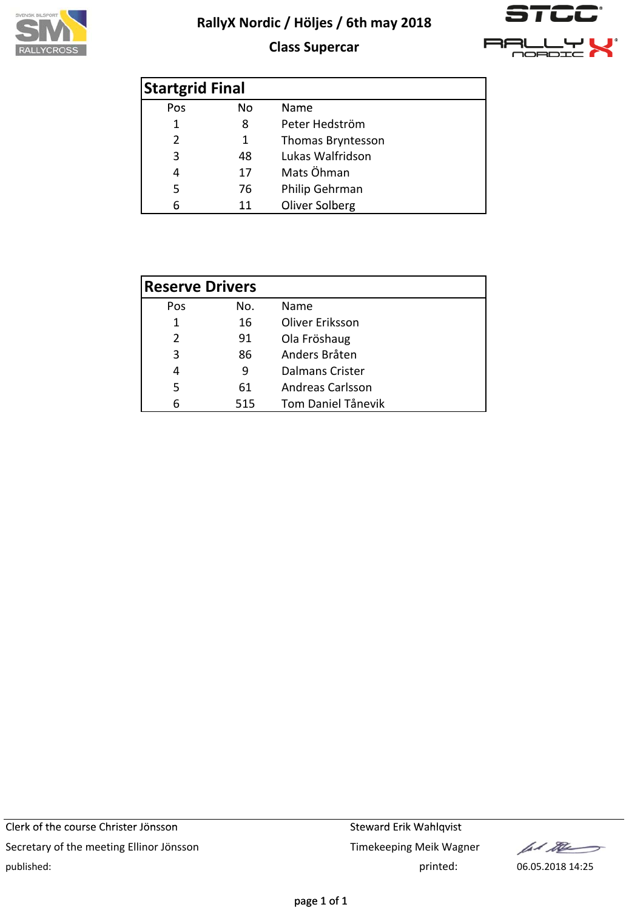

### **Class Supercar**



| <b>Startgrid Final</b> |     |                   |
|------------------------|-----|-------------------|
| Pos                    | No. | Name              |
| 1                      | 8   | Peter Hedström    |
| 2                      | 1   | Thomas Bryntesson |
| 3                      | 48  | Lukas Walfridson  |
| 4                      | 17  | Mats Öhman        |
| 5                      | 76  | Philip Gehrman    |
|                        | 11  | Oliver Solberg    |

| <b>Reserve Drivers</b> |     |                           |
|------------------------|-----|---------------------------|
| Pos                    | No. | Name                      |
| 1                      | 16  | Oliver Eriksson           |
| 2                      | 91  | Ola Fröshaug              |
| 3                      | 86  | Anders Bråten             |
| 4                      | 9   | Dalmans Crister           |
| 5                      | 61  | <b>Andreas Carlsson</b>   |
|                        | 515 | <b>Tom Daniel Tånevik</b> |

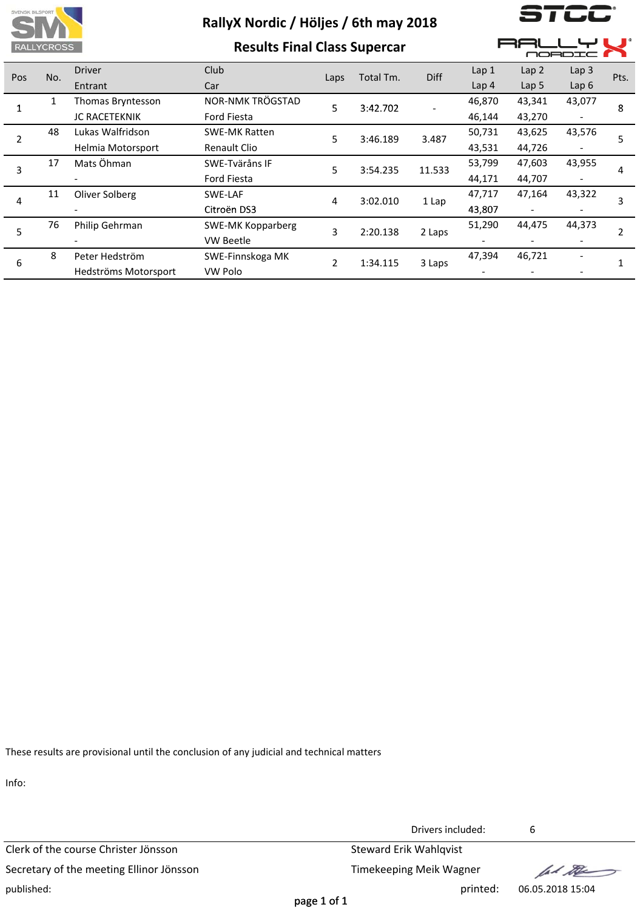

**Results Final Class Supercar**

 $\overline{\phantom{a}}$ 

F

38L

▁**ᆫ**ᇦι

 $\blacksquare$ 

|     |     |                      | <u>INCOUNTS FINITED CITYS SUPERVAL</u> |                |           |             |                  | <b>MORDIC</b>    |                  |      |  |
|-----|-----|----------------------|----------------------------------------|----------------|-----------|-------------|------------------|------------------|------------------|------|--|
| Pos | No. | <b>Driver</b>        | <b>Club</b>                            | Laps           | Total Tm. | <b>Diff</b> | Lap 1            | Lap 2            | Lap <sub>3</sub> | Pts. |  |
|     |     | Entrant              | Car                                    |                |           |             | Lap <sub>4</sub> | Lap <sub>5</sub> | Lap6             |      |  |
|     | 1   | Thomas Bryntesson    | NOR-NMK TRÖGSTAD                       | 5              | 3:42.702  |             | 46,870           | 43,341           | 43,077           | 8    |  |
|     |     | <b>JC RACETEKNIK</b> | <b>Ford Fiesta</b>                     |                |           |             | 46,144           | 43,270           |                  |      |  |
|     | 48  | Lukas Walfridson     | <b>SWE-MK Ratten</b>                   | 5              | 3:46.189  | 3.487       | 50,731           | 43,625           | 43,576           | 5    |  |
|     |     | Helmia Motorsport    | <b>Renault Clio</b>                    |                |           |             | 43,531           | 44,726           |                  |      |  |
| 3   | 17  | Mats Öhman           | SWE-Tväråns IF                         | 5              | 3:54.235  | 11.533      | 53,799           | 47,603           | 43,955           | 4    |  |
|     |     |                      | Ford Fiesta                            |                |           |             | 44,171           | 44,707           |                  |      |  |
| 4   | 11  | Oliver Solberg       | SWE-LAF                                | 4              | 3:02.010  | 1 Lap       | 47,717           | 47,164           | 43,322           | 3    |  |
|     |     |                      | Citroën DS3                            |                |           |             | 43,807           |                  |                  |      |  |
| 5   | 76  | Philip Gehrman       | <b>SWE-MK Kopparberg</b>               | 3              | 2:20.138  | 2 Laps      | 51,290           | 44,475           | 44,373           | 2    |  |
|     |     |                      | VW Beetle                              |                |           |             |                  |                  |                  |      |  |
|     | 8   | Peter Hedström       | SWE-Finnskoga MK                       | $\overline{2}$ | 1:34.115  | 3 Laps      | 47,394           | 46,721           |                  |      |  |
| 6   |     | Hedströms Motorsport | VW Polo                                |                |           |             |                  |                  |                  |      |  |
|     |     |                      |                                        |                |           |             |                  |                  |                  |      |  |

These results are provisional until the conclusion of any judicial and technical matters

Info:

Clerk of the course Christer Jönsson Steward Erik Wahlqvist Secretary of the meeting Ellinor Jönsson Timekeeping Meik Wagner published: printed: 06.05.2018 15:04

Drivers included: 6

fal the